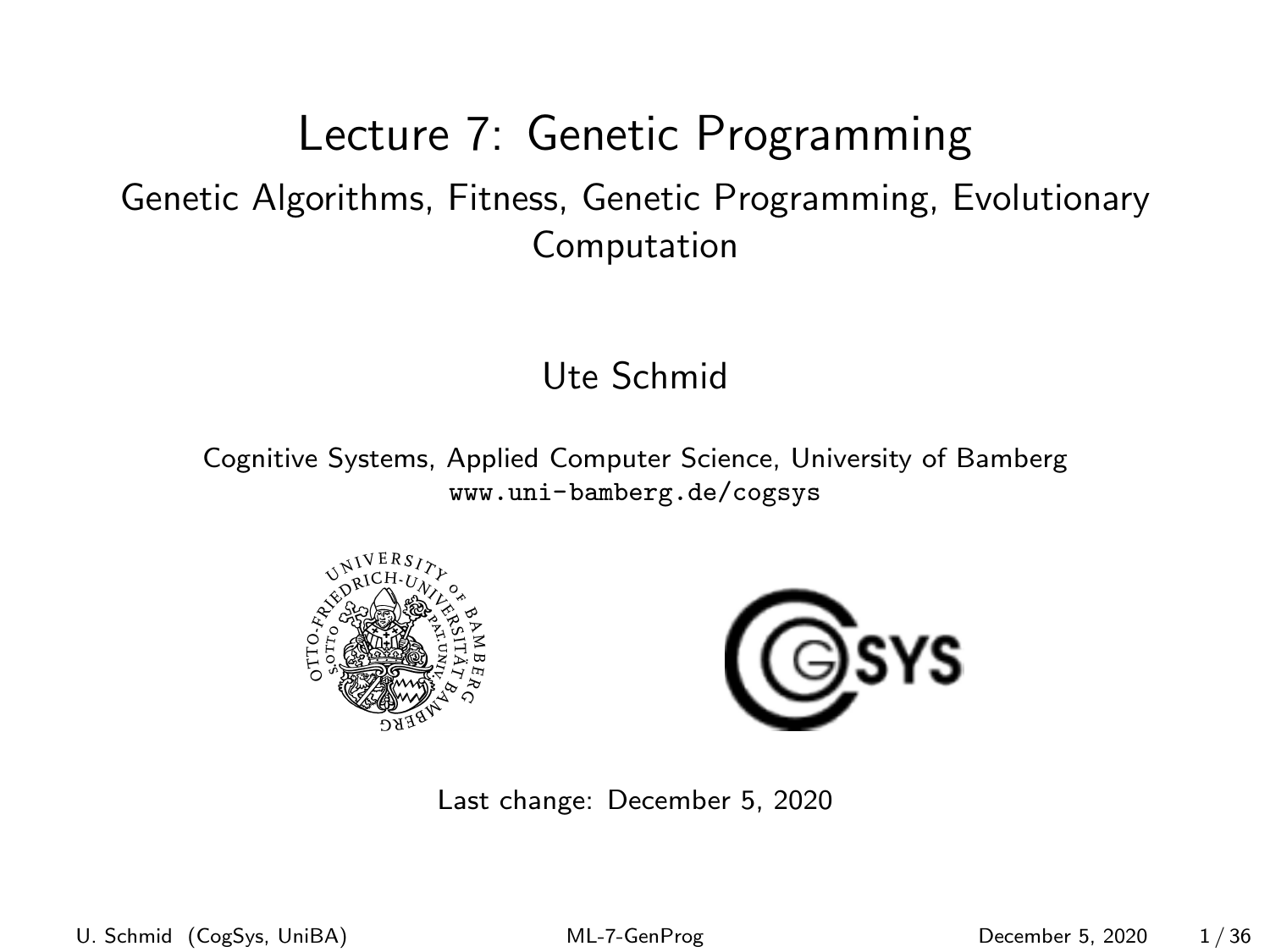#### <span id="page-0-0"></span>Lecture 7: Genetic Programming Genetic Algorithms, Fitness, Genetic Programming, Evolutionary Computation

#### Ute Schmid

Cognitive Systems, Applied Computer Science, University of Bamberg <www.uni-bamberg.de/cogsys>





Last change: December 5, 2020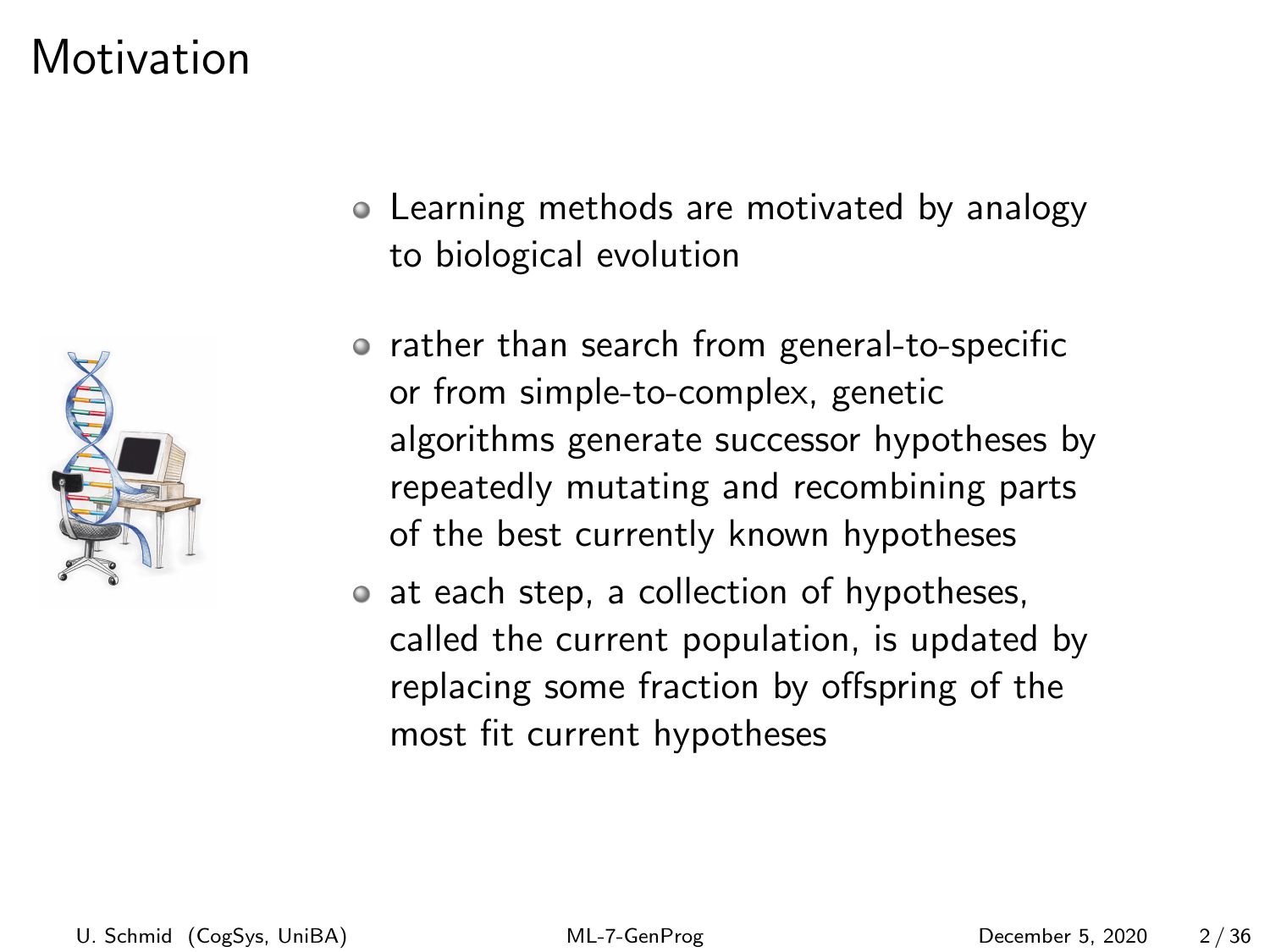### Motivation



- Learning methods are motivated by analogy to biological evolution
- rather than search from general-to-specific or from simple-to-complex, genetic algorithms generate successor hypotheses by repeatedly mutating and recombining parts of the best currently known hypotheses
- at each step, a collection of hypotheses, called the current population, is updated by replacing some fraction by offspring of the most fit current hypotheses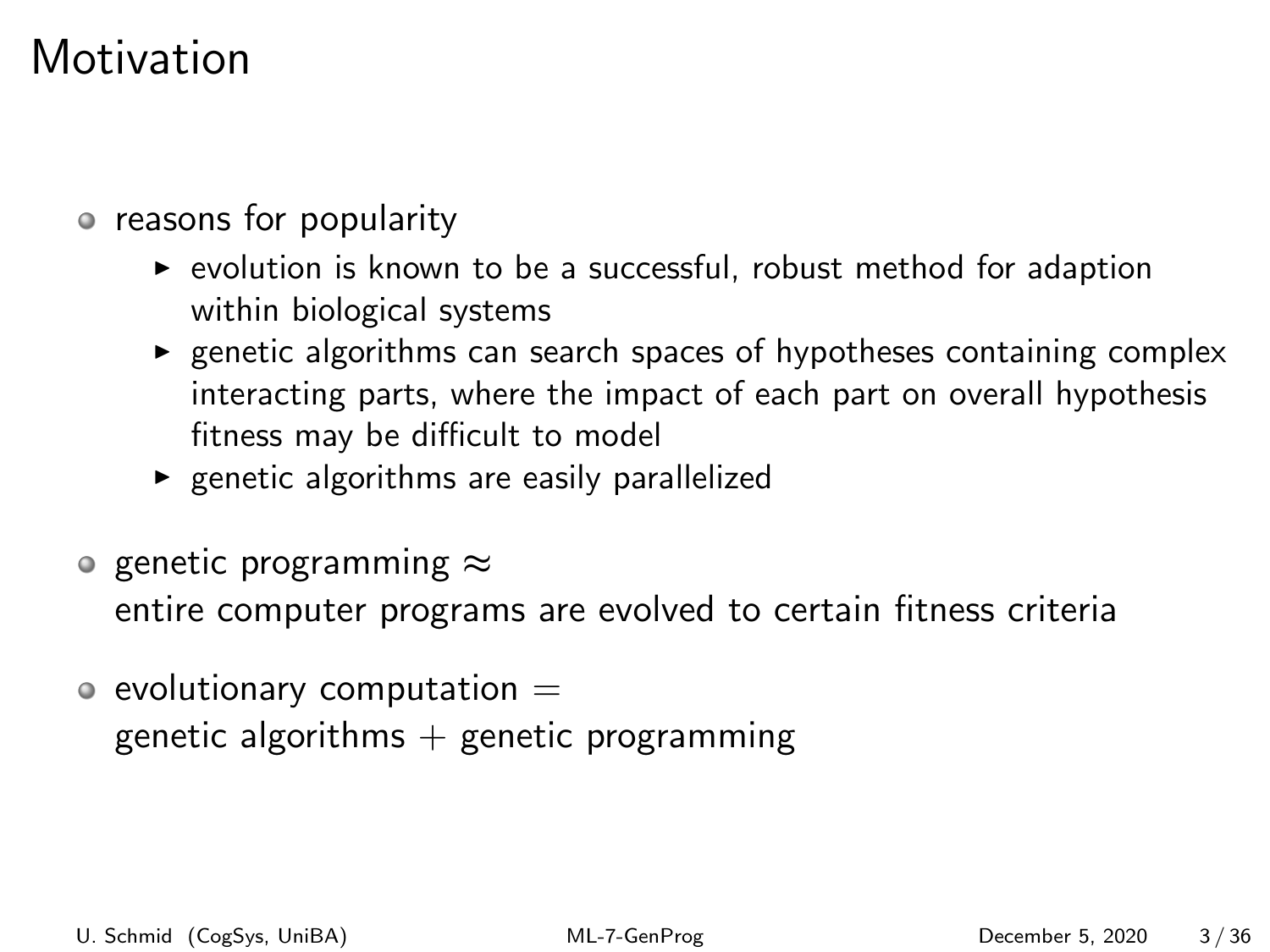### **Motivation**

reasons for popularity

- $\triangleright$  evolution is known to be a successful, robust method for adaption within biological systems
- $\triangleright$  genetic algorithms can search spaces of hypotheses containing complex interacting parts, where the impact of each part on overall hypothesis fitness may be difficult to model
- $\triangleright$  genetic algorithms are easily parallelized
- o genetic programming  $\approx$ entire computer programs are evolved to certain fitness criteria
- $\circ$  evolutionary computation  $=$ genetic algorithms  $+$  genetic programming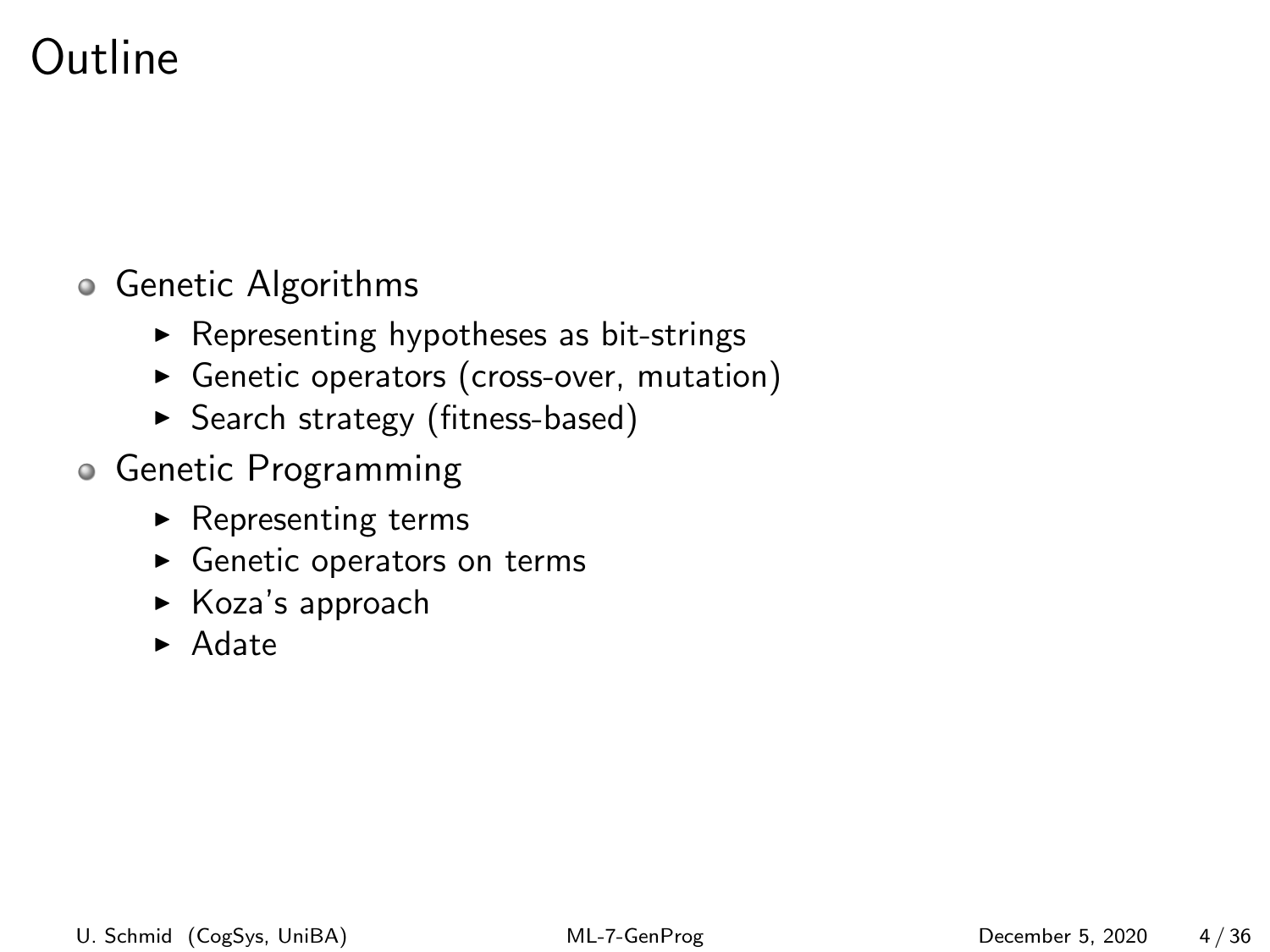## Outline

#### Genetic Algorithms

- $\blacktriangleright$  Representing hypotheses as bit-strings
- **Genetic operators (cross-over, mutation)**
- ▶ Search strategy (fitness-based)
- Genetic Programming
	- $\blacktriangleright$  Representing terms
	- $\blacktriangleright$  Genetic operators on terms
	- $\triangleright$  Koza's approach
	- $\blacktriangleright$  Adate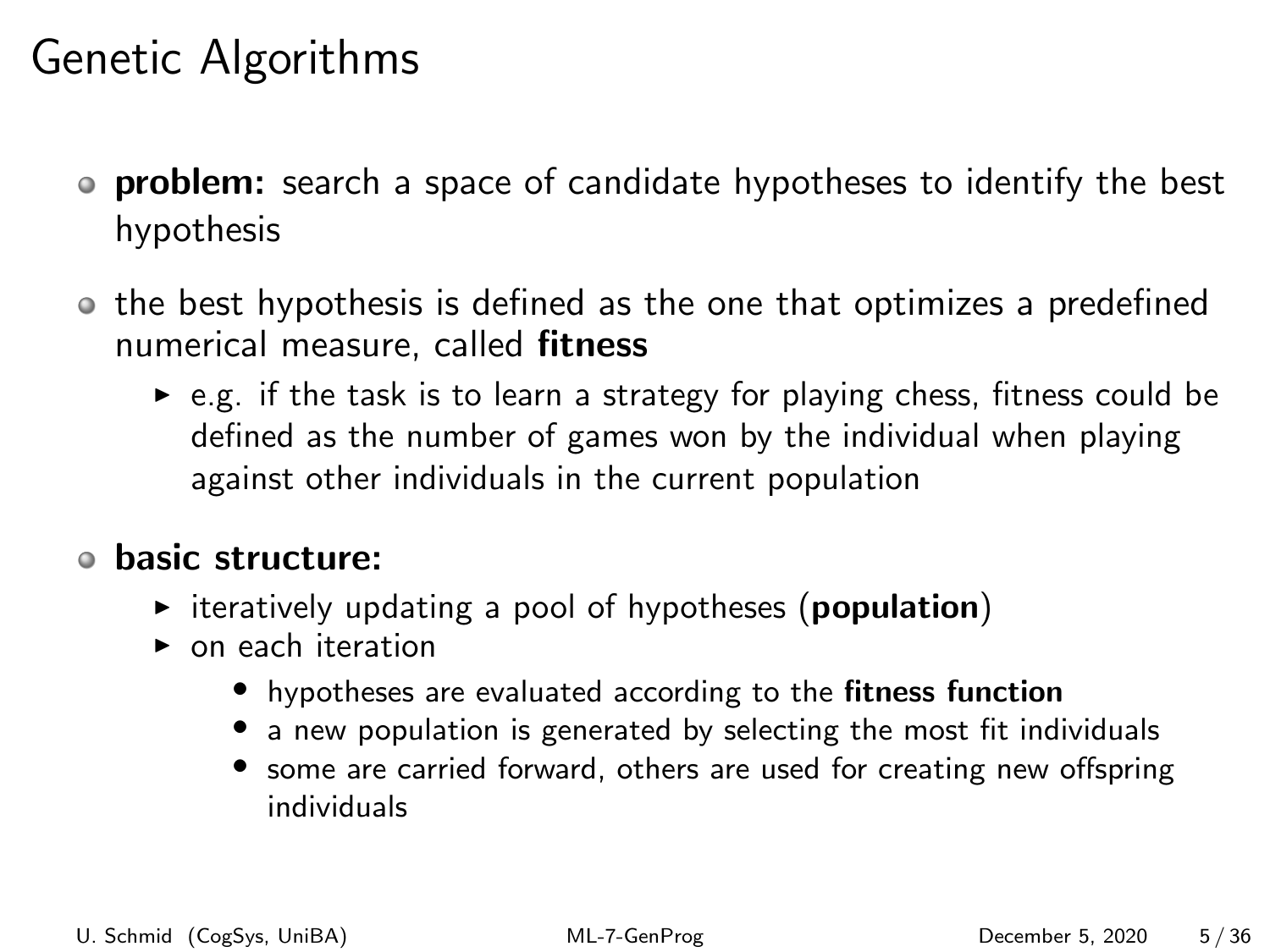### Genetic Algorithms

- **problem:** search a space of candidate hypotheses to identify the best hypothesis
- the best hypothesis is defined as the one that optimizes a predefined numerical measure, called fitness
	- $\triangleright$  e.g. if the task is to learn a strategy for playing chess, fitness could be defined as the number of games won by the individual when playing against other individuals in the current population

#### basic structure:

- $\triangleright$  iteratively updating a pool of hypotheses (**population**)
- **I** on each iteration
	- hypotheses are evaluated according to the fitness function
	- a new population is generated by selecting the most fit individuals
	- some are carried forward, others are used for creating new offspring individuals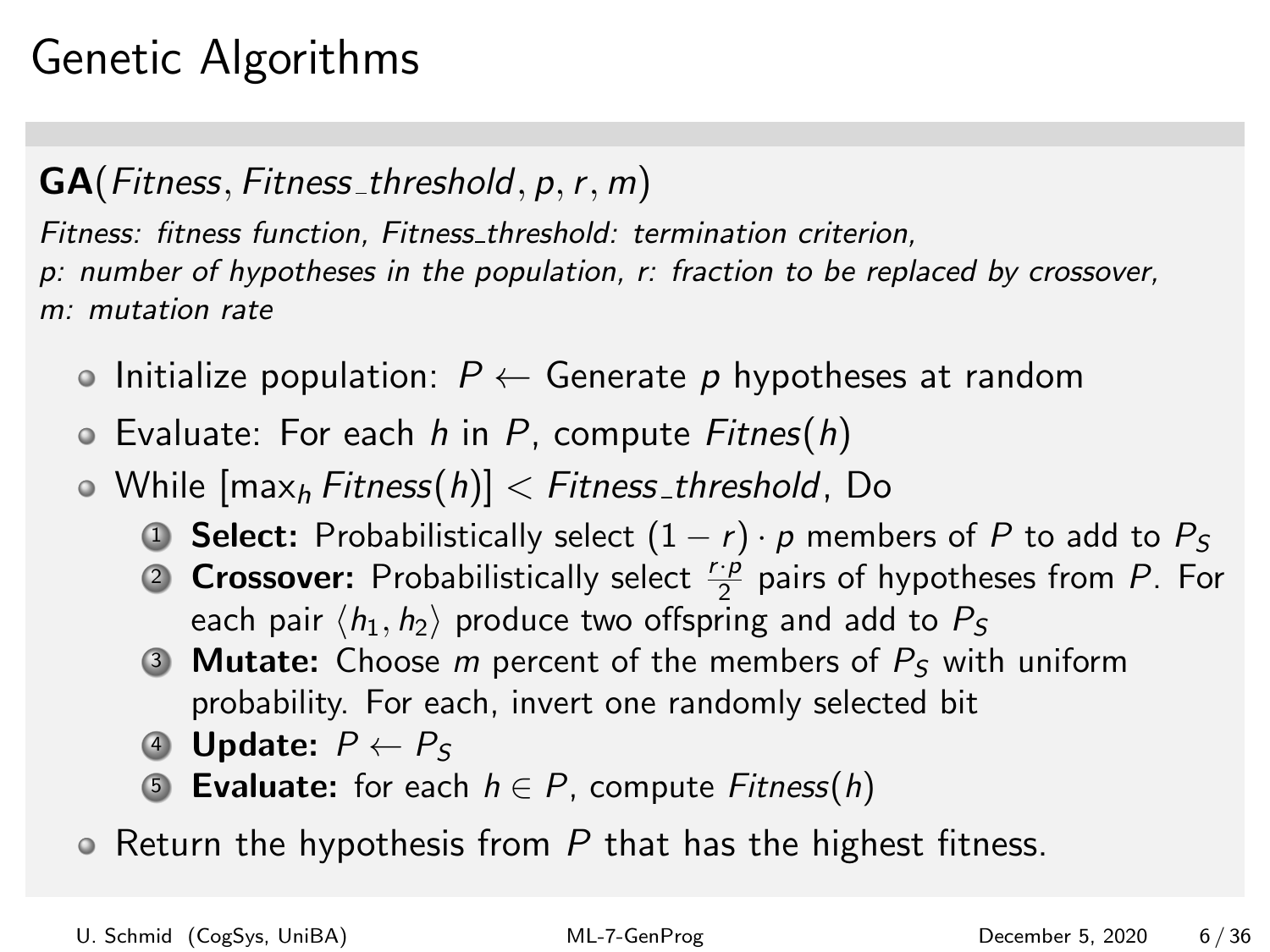# Genetic Algorithms

#### $GA(Fitness, Fitness\_threshold, p, r, m)$

Fitness: fitness function, Fitness threshold: termination criterion, p: number of hypotheses in the population, r: fraction to be replaced by crossover, m: mutation rate

- Initialize population:  $P \leftarrow$  Generate p hypotheses at random
- $\circ$  Evaluate: For each h in P, compute Fitnes(h)
- $\bullet$  While  ${\sf max}_h$  Fitness $(h)$ ]  $\lt$  Fitness\_threshold, Do
	- **1 Select:** Probabilistically select  $(1 r) \cdot p$  members of P to add to  $P_s$
	- **2 Crossover:** Probabilistically select  $\frac{r \cdot p}{2}$  pairs of hypotheses from P. For each pair  $\langle h_1, h_2 \rangle$  produce two offspring and add to  $P_S$
	- 3 **Mutate:** Choose *m* percent of the members of  $P<sub>S</sub>$  with uniform probability. For each, invert one randomly selected bit
	- 4 Update:  $P \leftarrow P_S$
	- **5 Evaluate:** for each  $h \in P$ , compute Fitness(h)
- $\bullet$  Return the hypothesis from P that has the highest fitness.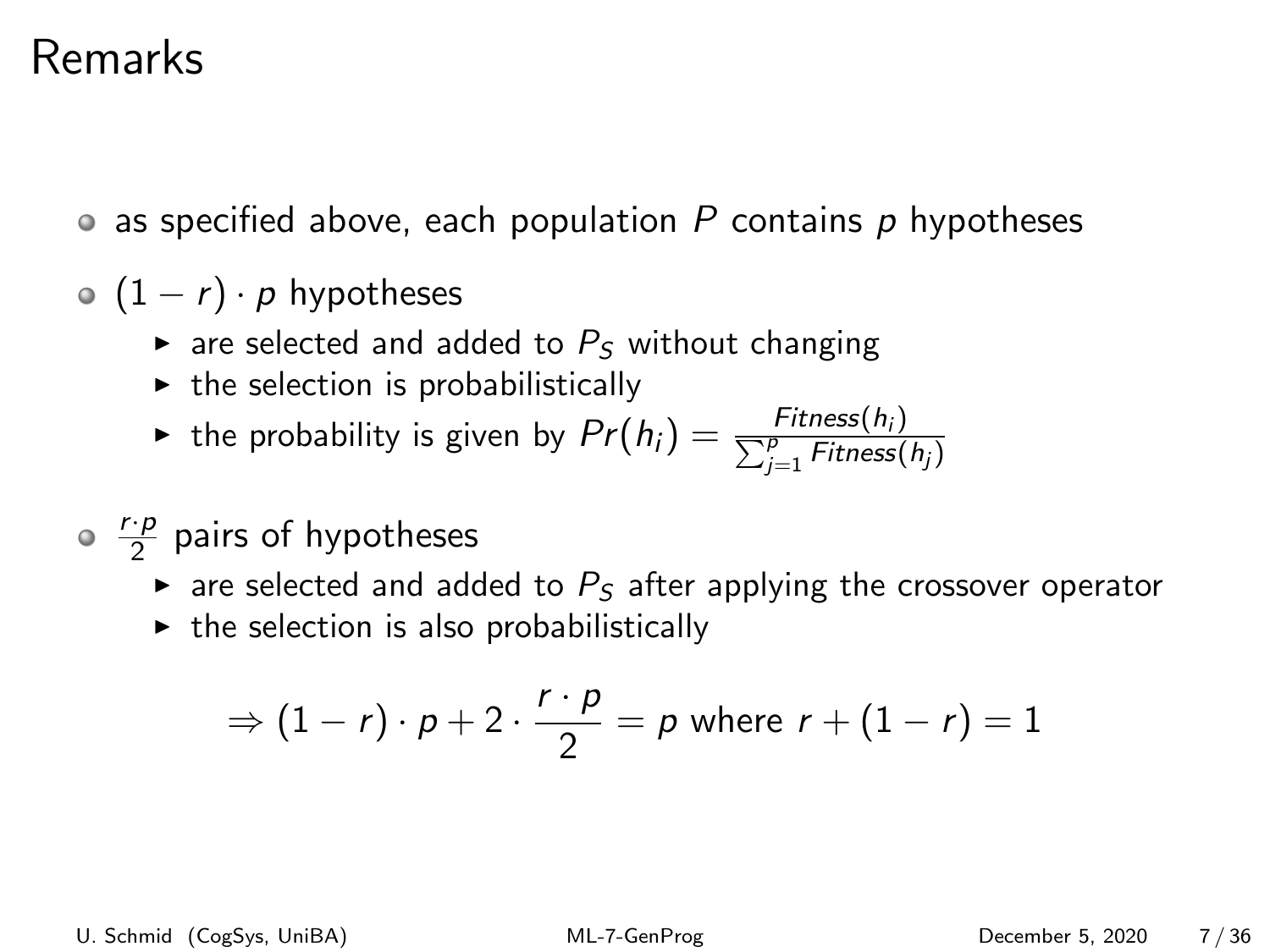### Remarks

- as specified above, each population  $P$  contains  $p$  hypotheses
- $\circ$  (1 r) · p hypotheses
	- $\triangleright$  are selected and added to  $P<sub>S</sub>$  without changing
	- $\triangleright$  the selection is probabilistically

• the probability is given by 
$$
Pr(h_i) = \frac{Fitness(h_i)}{\sum_{j=1}^{P} Fitness(h_j)}
$$

- r·p  $\frac{p}{2}$  pairs of hypotheses
	- $\triangleright$  are selected and added to  $P_S$  after applying the crossover operator
	- $\triangleright$  the selection is also probabilistically

$$
\Rightarrow (1-r)\cdot p + 2\cdot \frac{r\cdot p}{2} = p \text{ where } r + (1-r) = 1
$$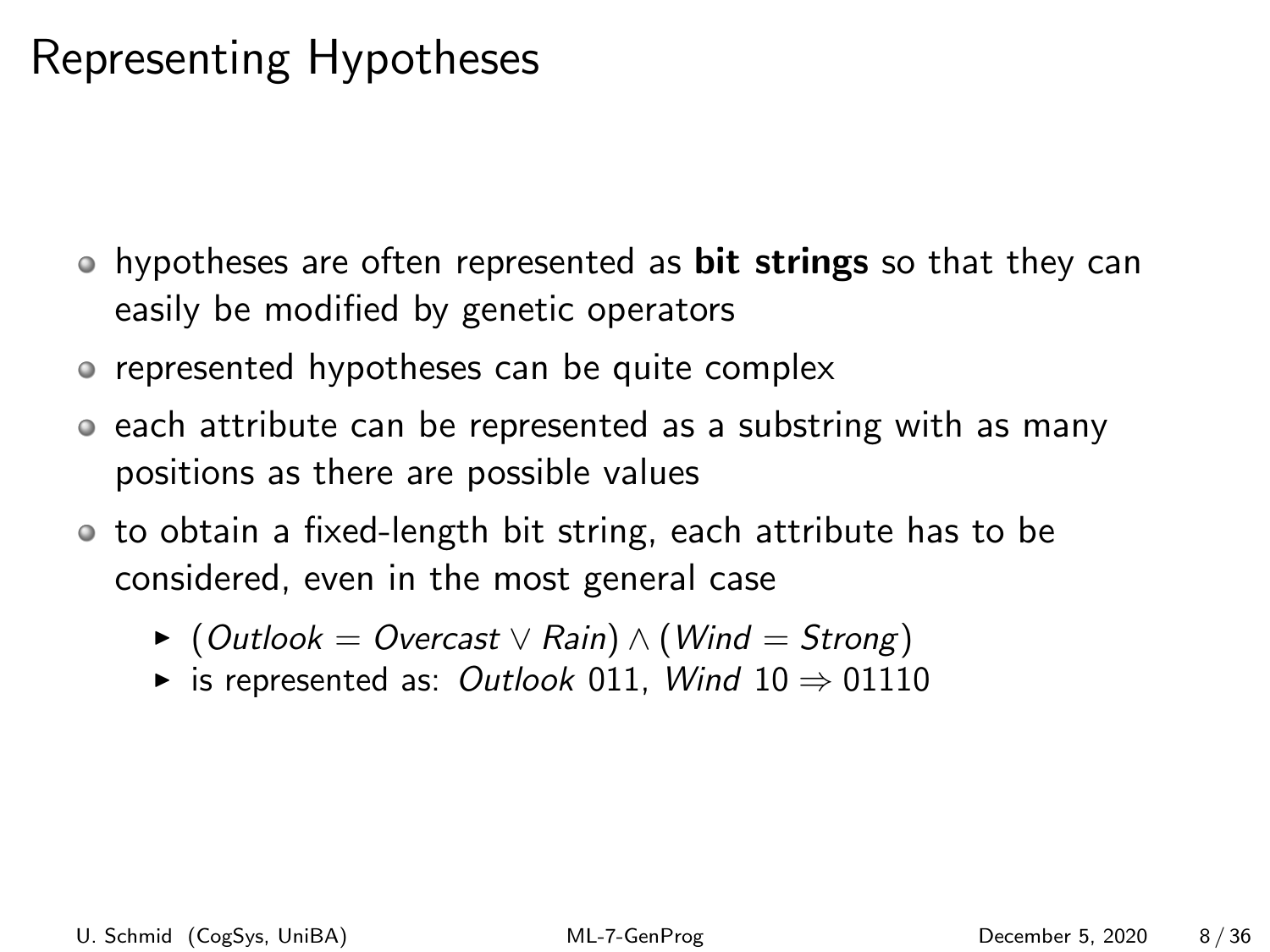# Representing Hypotheses

- hypotheses are often represented as **bit strings** so that they can easily be modified by genetic operators
- represented hypotheses can be quite complex
- each attribute can be represented as a substring with as many positions as there are possible values
- to obtain a fixed-length bit string, each attribute has to be considered, even in the most general case
	- $\triangleright$  (Outlook = Overcast  $\vee$  Rain)  $\wedge$  (Wind = Strong)
	- $\triangleright$  is represented as: Outlook 011, Wind 10  $\Rightarrow$  01110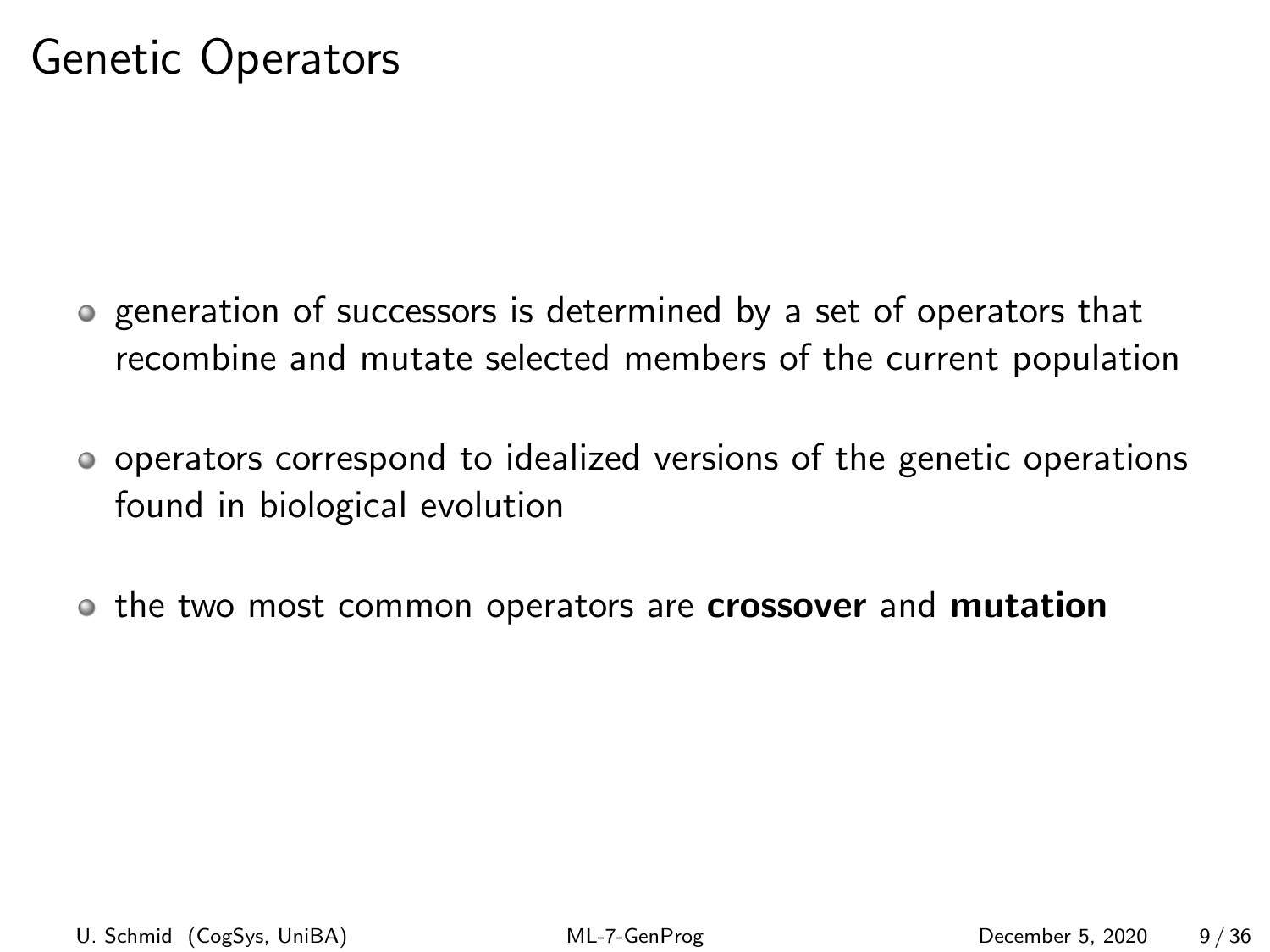- generation of successors is determined by a set of operators that recombine and mutate selected members of the current population
- operators correspond to idealized versions of the genetic operations found in biological evolution
- the two most common operators are crossover and mutation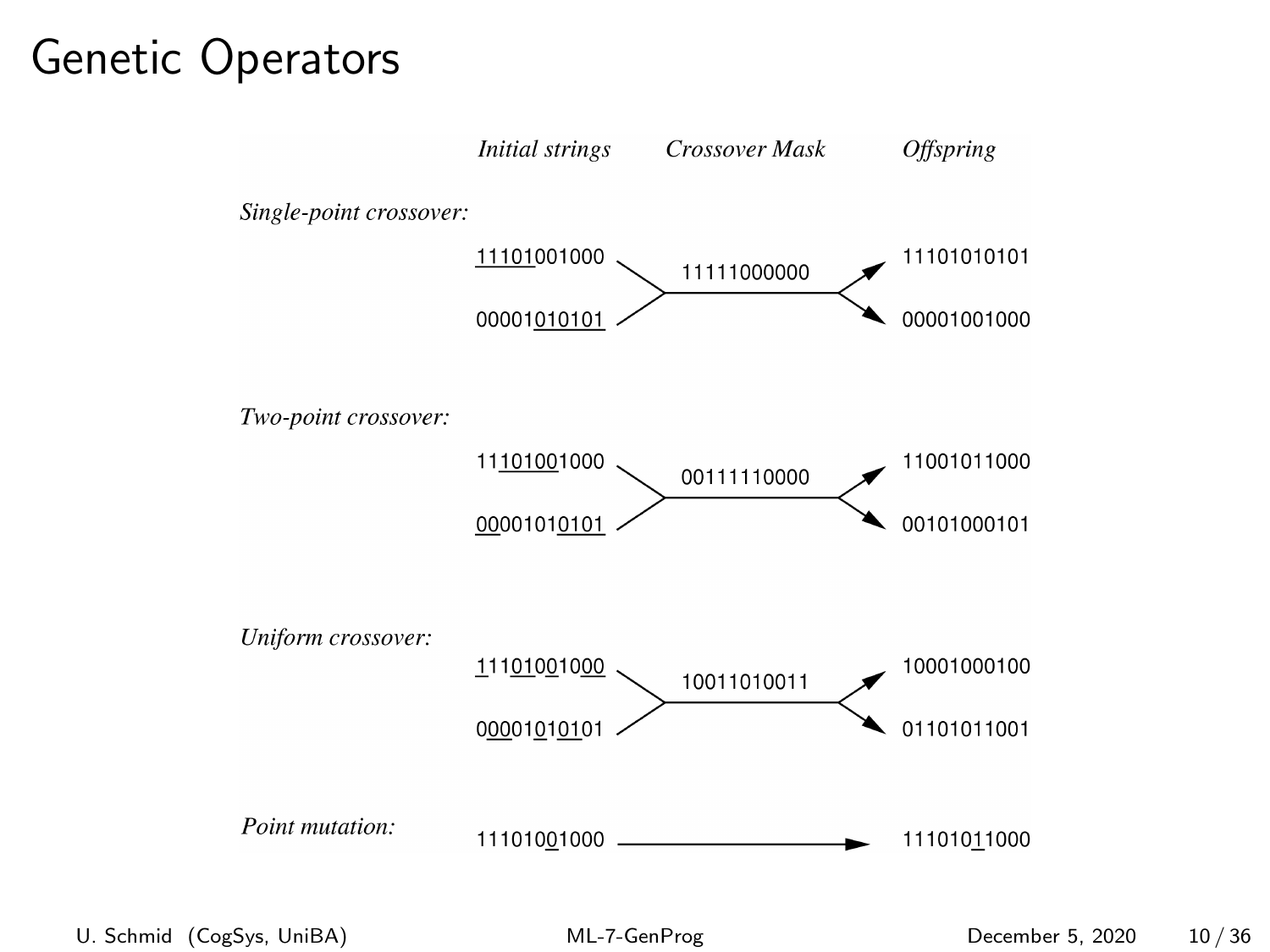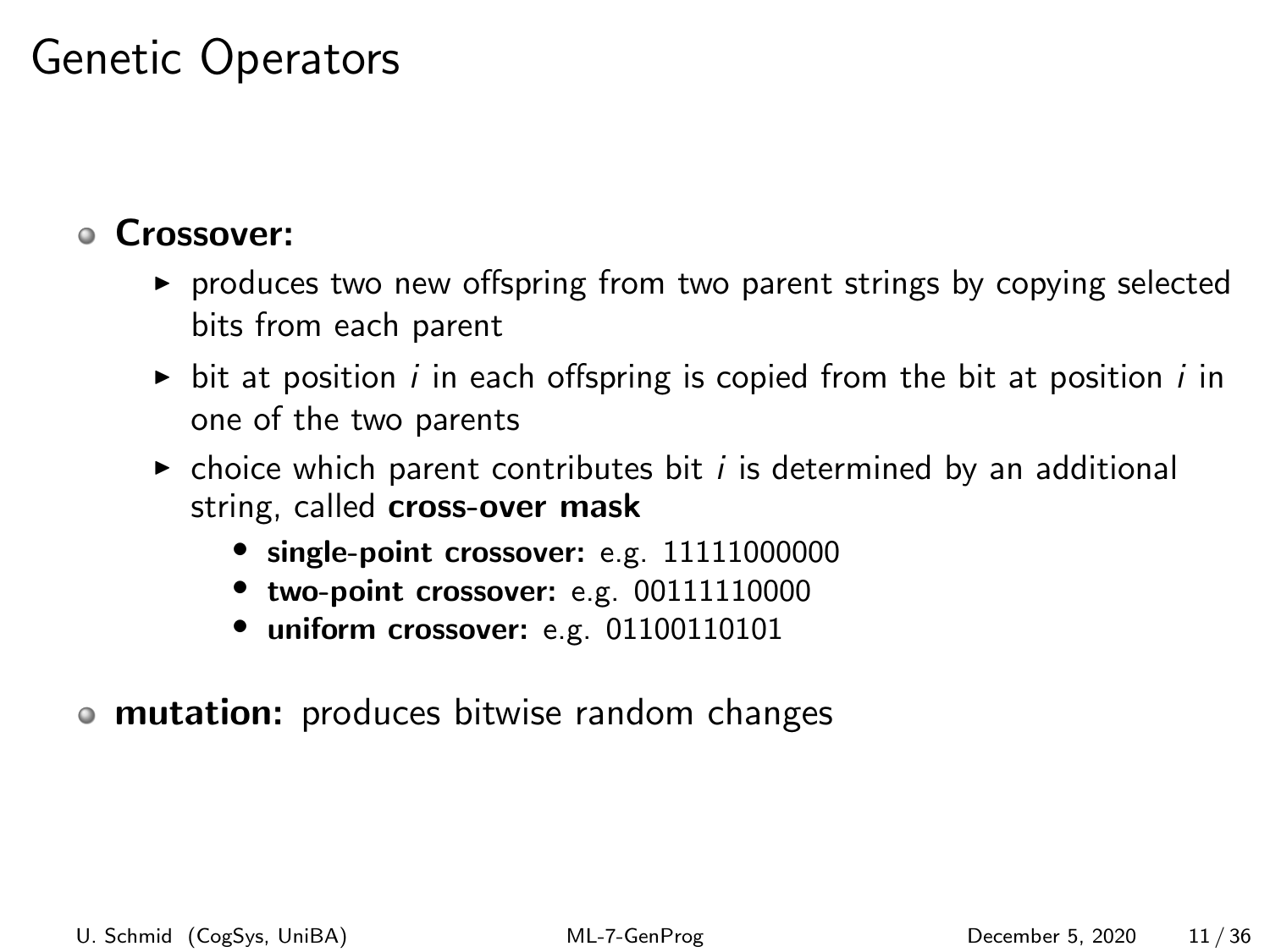#### Crossover:

- $\triangleright$  produces two new offspring from two parent strings by copying selected bits from each parent
- In bit at position i in each offspring is copied from the bit at position i in one of the two parents
- $\triangleright$  choice which parent contributes bit *i* is determined by an additional string, called cross-over mask
	- single-point crossover: e.g. 11111000000
	- two-point crossover: e.g. 00111110000
	- uniform crossover: e.g. 01100110101
- mutation: produces bitwise random changes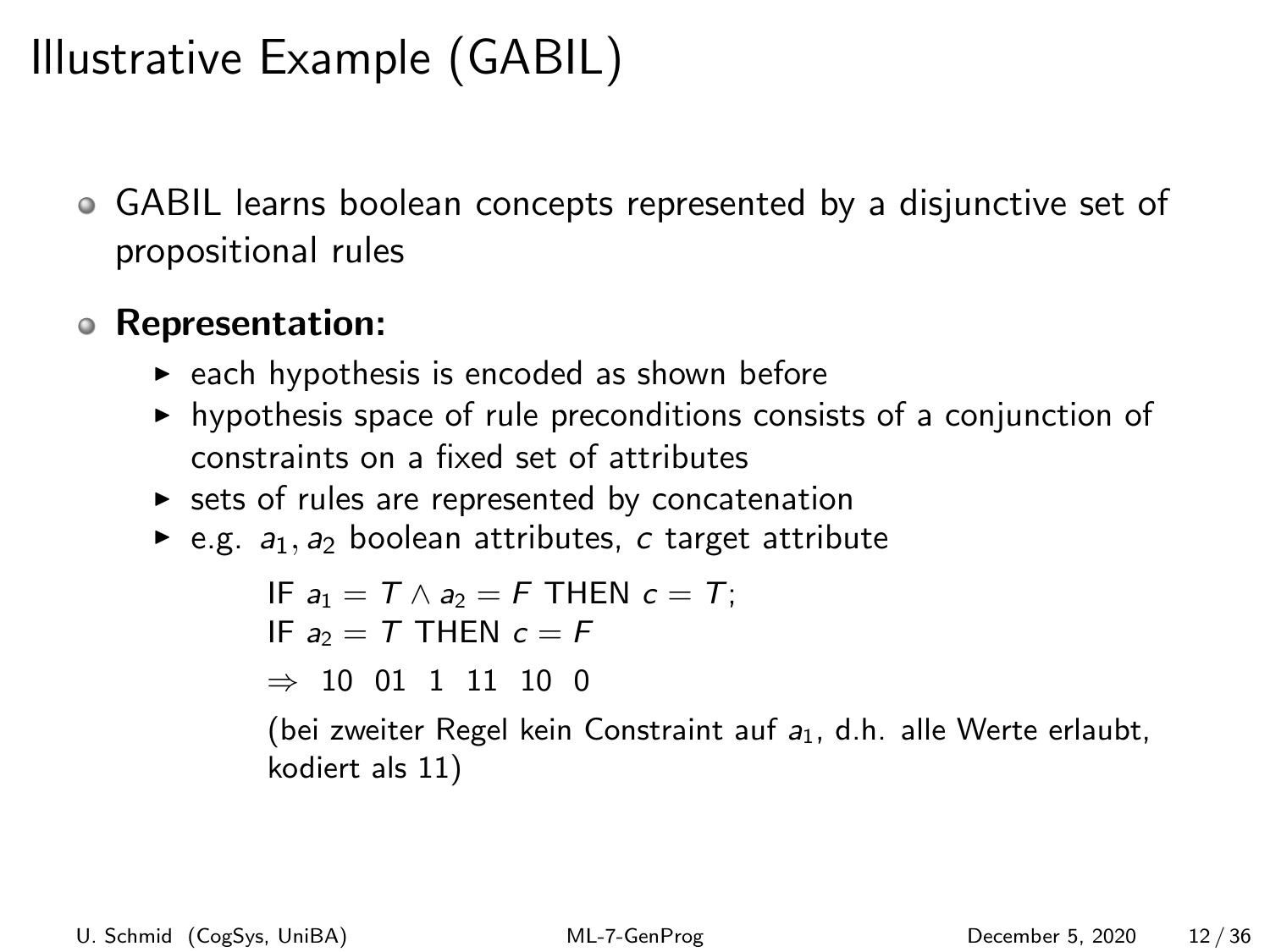# Illustrative Example (GABIL)

GABIL learns boolean concepts represented by a disjunctive set of propositional rules

#### Representation:

- $\triangleright$  each hypothesis is encoded as shown before
- $\triangleright$  hypothesis space of rule preconditions consists of a conjunction of constraints on a fixed set of attributes
- $\triangleright$  sets of rules are represented by concatenation
- e.g.  $a_1$ ,  $a_2$  boolean attributes, c target attribute

```
IF a_1 = T \wedge a_2 = F THEN c = T:
IF a_2 = T THEN c = F\Rightarrow 10 01 1 11 10 0
(bei zweiter Regel kein Constraint auf a_1, d.h. alle Werte erlaubt,
kodiert als 11)
```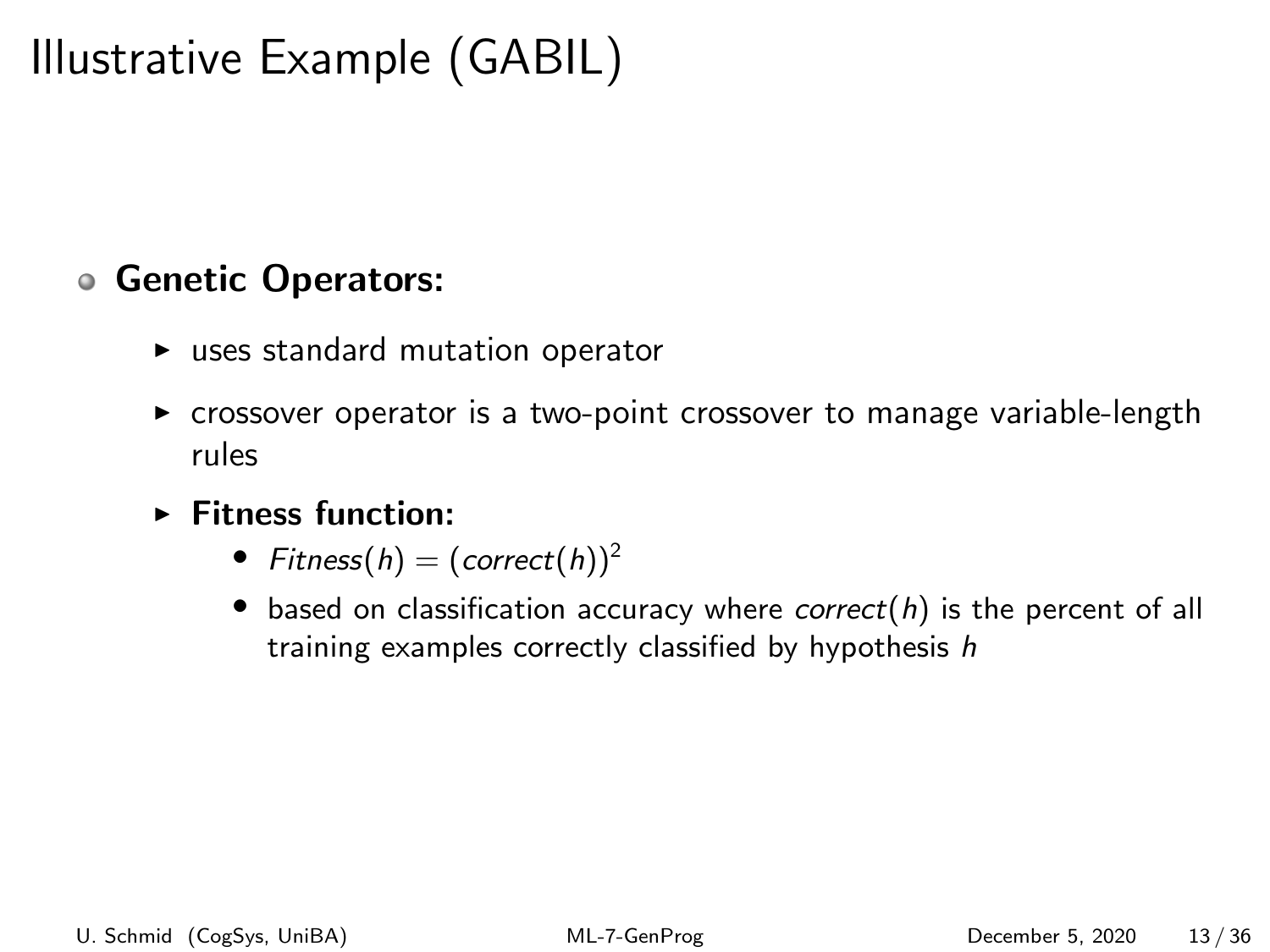# Illustrative Example (GABIL)

#### Genetic Operators:

- $\blacktriangleright$  uses standard mutation operator
- $\triangleright$  crossover operator is a two-point crossover to manage variable-length rules
- $\blacktriangleright$  Fitness function:
	- Fitness(h) =  $(correct(h))^2$
	- $\bullet$  based on classification accuracy where correct(h) is the percent of all training examples correctly classified by hypothesis h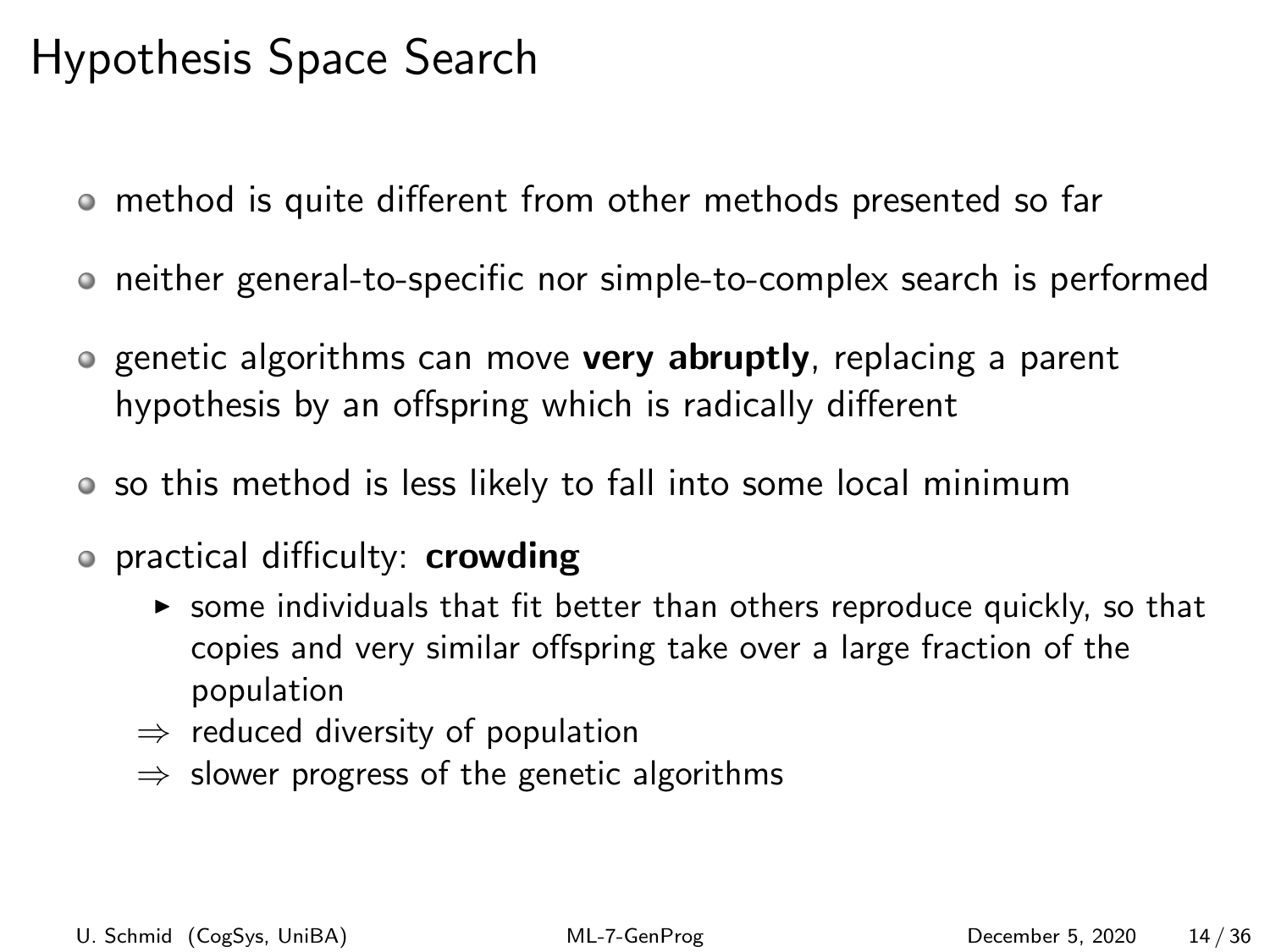# Hypothesis Space Search

- method is quite different from other methods presented so far
- neither general-to-specific nor simple-to-complex search is performed
- **Example 2** algorithms can move very abruptly, replacing a parent hypothesis by an offspring which is radically different
- so this method is less likely to fall into some local minimum
- o practical difficulty: **crowding** 
	- $\triangleright$  some individuals that fit better than others reproduce quickly, so that copies and very similar offspring take over a large fraction of the population
	- $\Rightarrow$  reduced diversity of population
	- $\Rightarrow$  slower progress of the genetic algorithms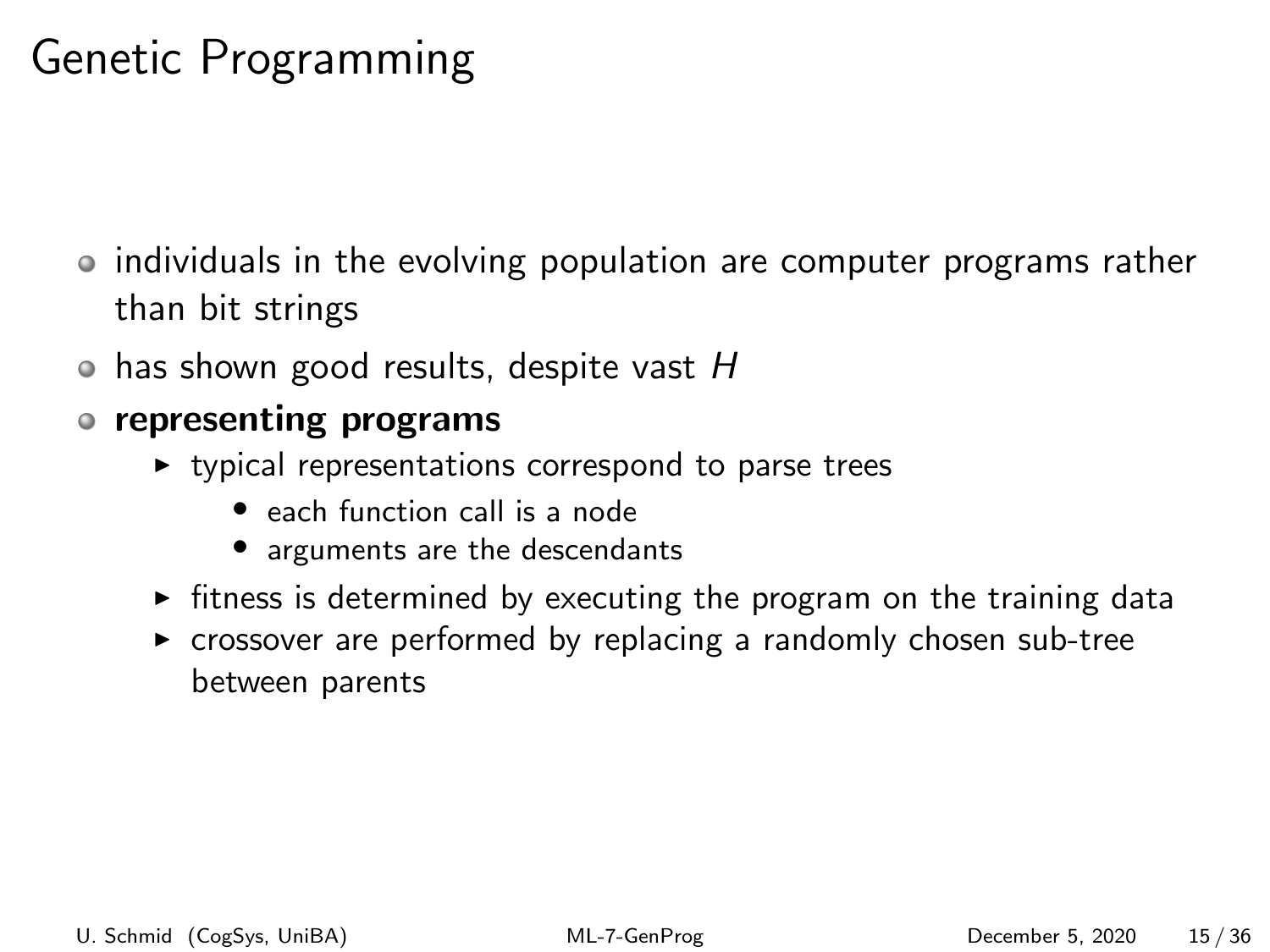# Genetic Programming

- individuals in the evolving population are computer programs rather than bit strings
- $\bullet$  has shown good results, despite vast H

#### representing programs

- $\triangleright$  typical representations correspond to parse trees
	- each function call is a node
	- arguments are the descendants
- $\triangleright$  fitness is determined by executing the program on the training data
- $\triangleright$  crossover are performed by replacing a randomly chosen sub-tree between parents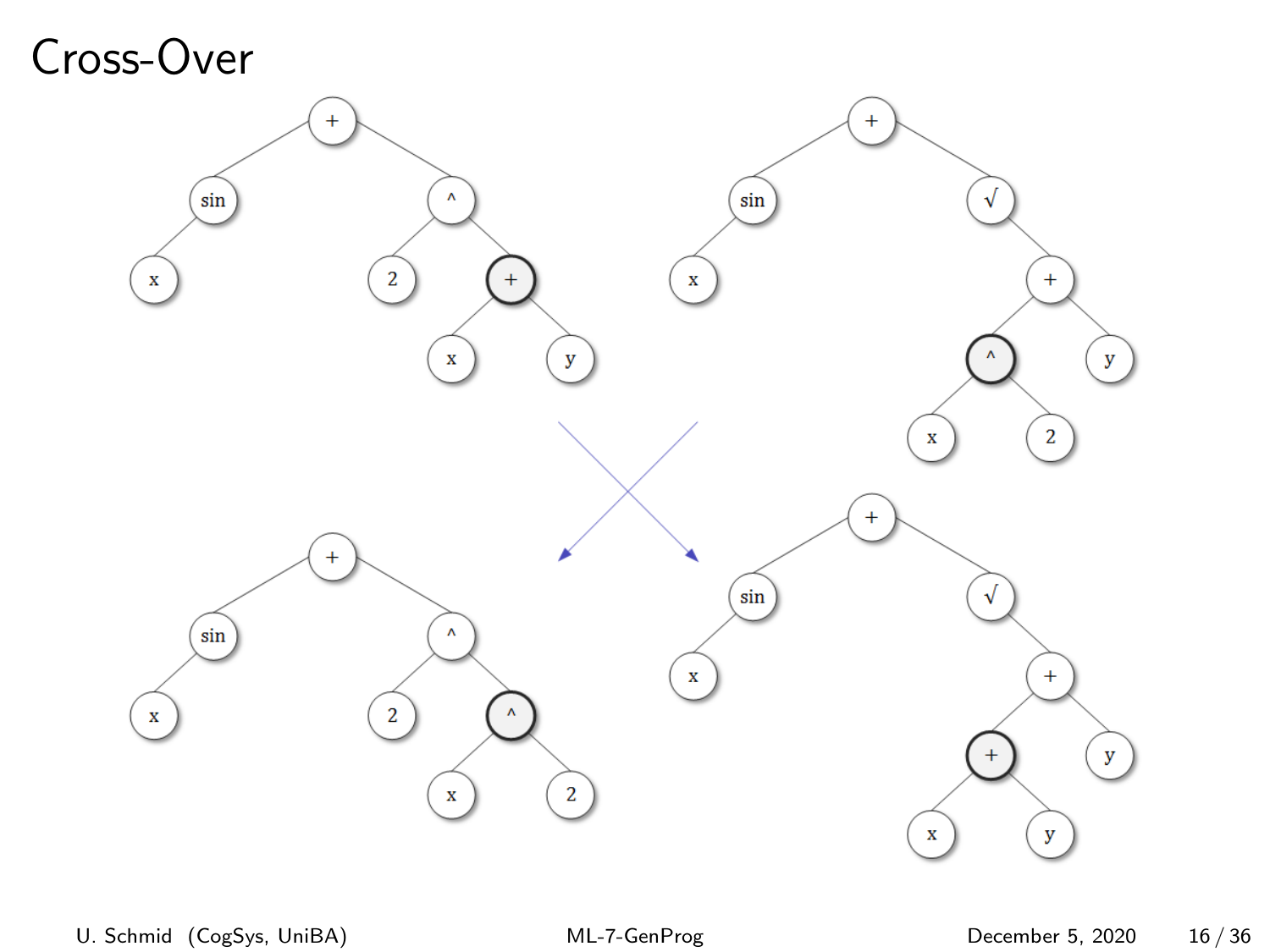# Cross-Over

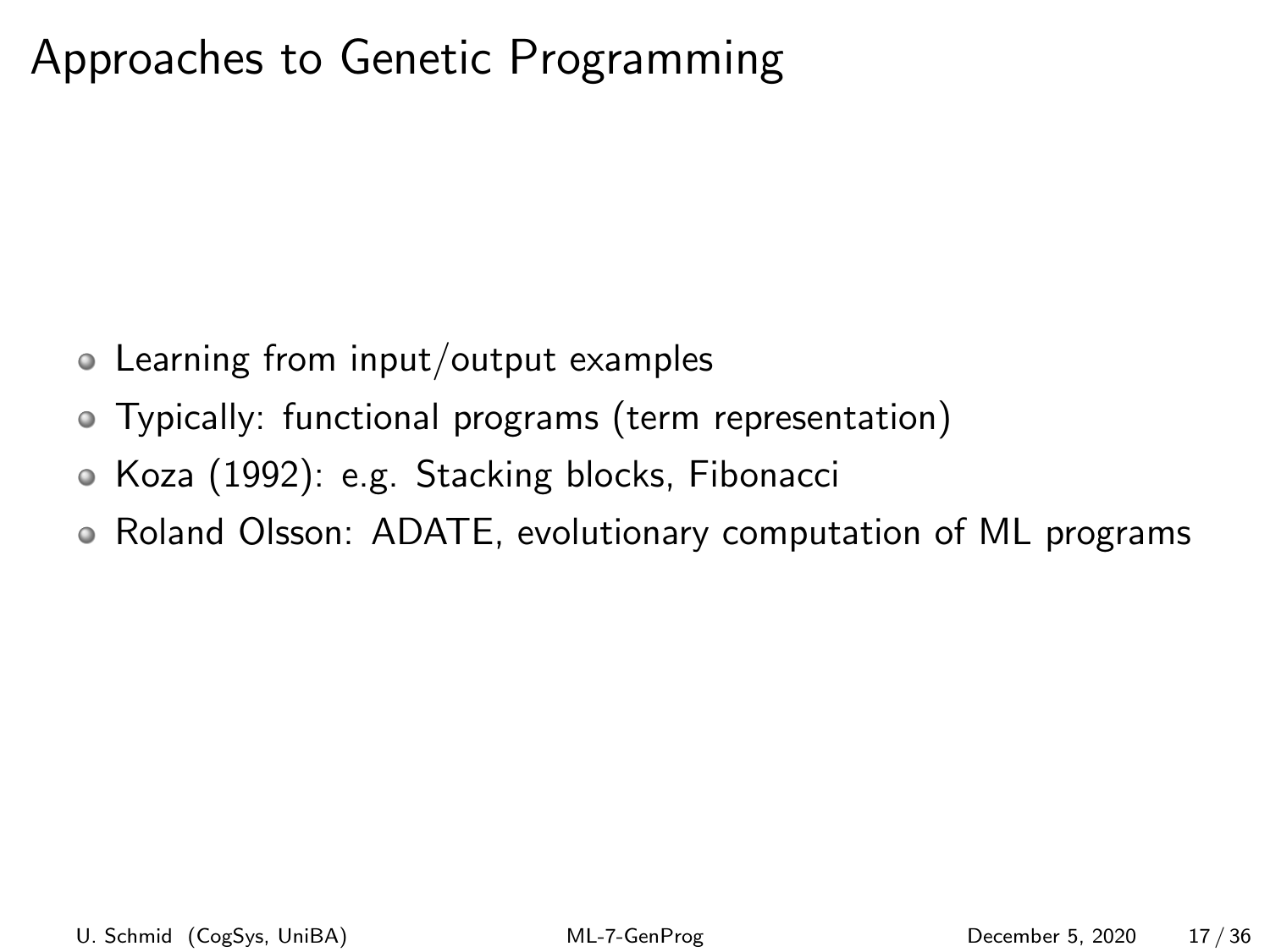# Approaches to Genetic Programming

- Learning from input/output examples
- Typically: functional programs (term representation)
- Koza (1992): e.g. Stacking blocks, Fibonacci
- Roland Olsson: ADATE, evolutionary computation of ML programs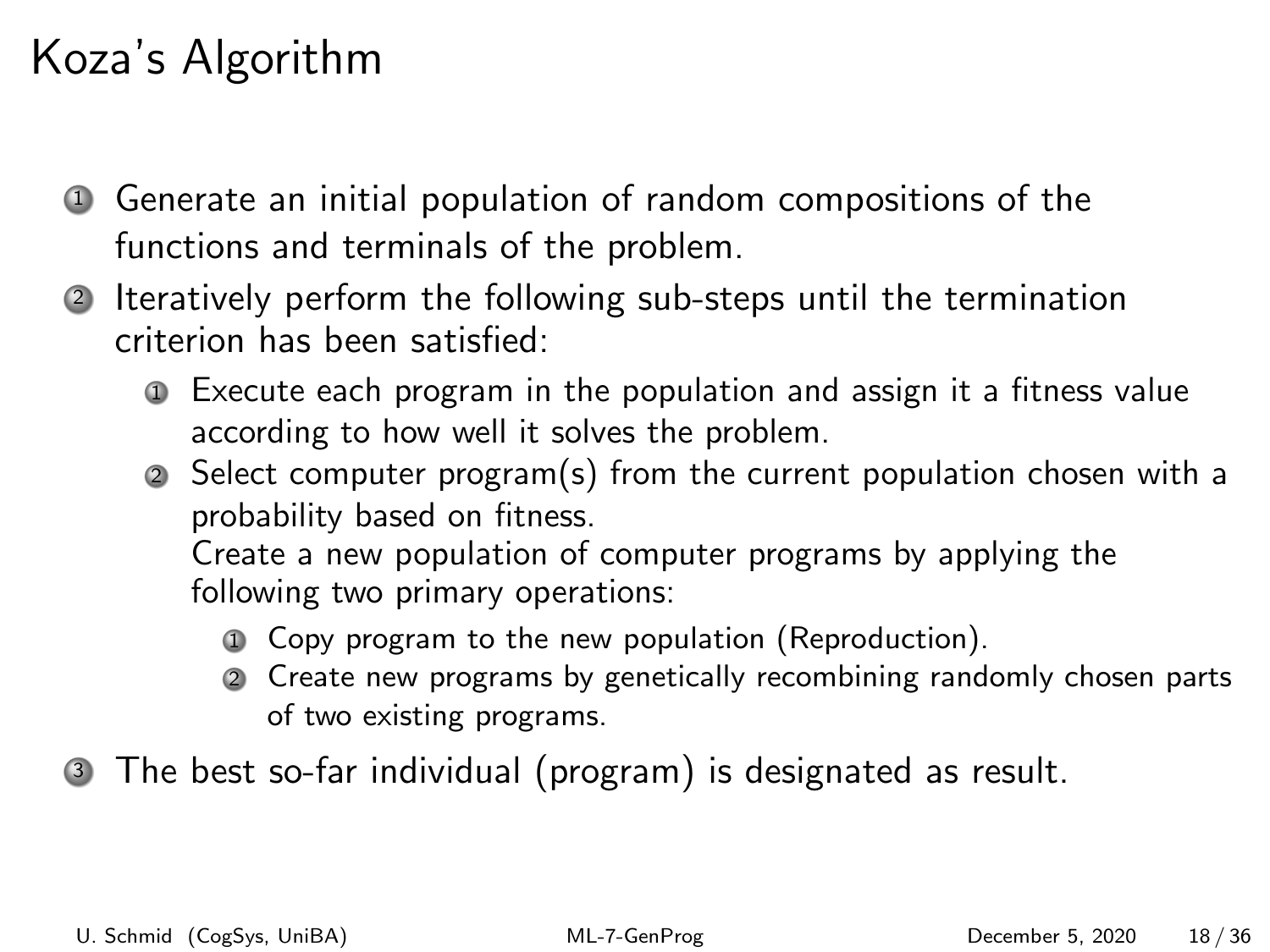# Koza's Algorithm

- <sup>1</sup> Generate an initial population of random compositions of the functions and terminals of the problem.
- <sup>2</sup> Iteratively perform the following sub-steps until the termination criterion has been satisfied:
	- <sup>1</sup> Execute each program in the population and assign it a fitness value according to how well it solves the problem.
	- <sup>2</sup> Select computer program(s) from the current population chosen with a probability based on fitness.

Create a new population of computer programs by applying the following two primary operations:

- <sup>1</sup> Copy program to the new population (Reproduction).
- <sup>2</sup> Create new programs by genetically recombining randomly chosen parts of two existing programs.

<sup>3</sup> The best so-far individual (program) is designated as result.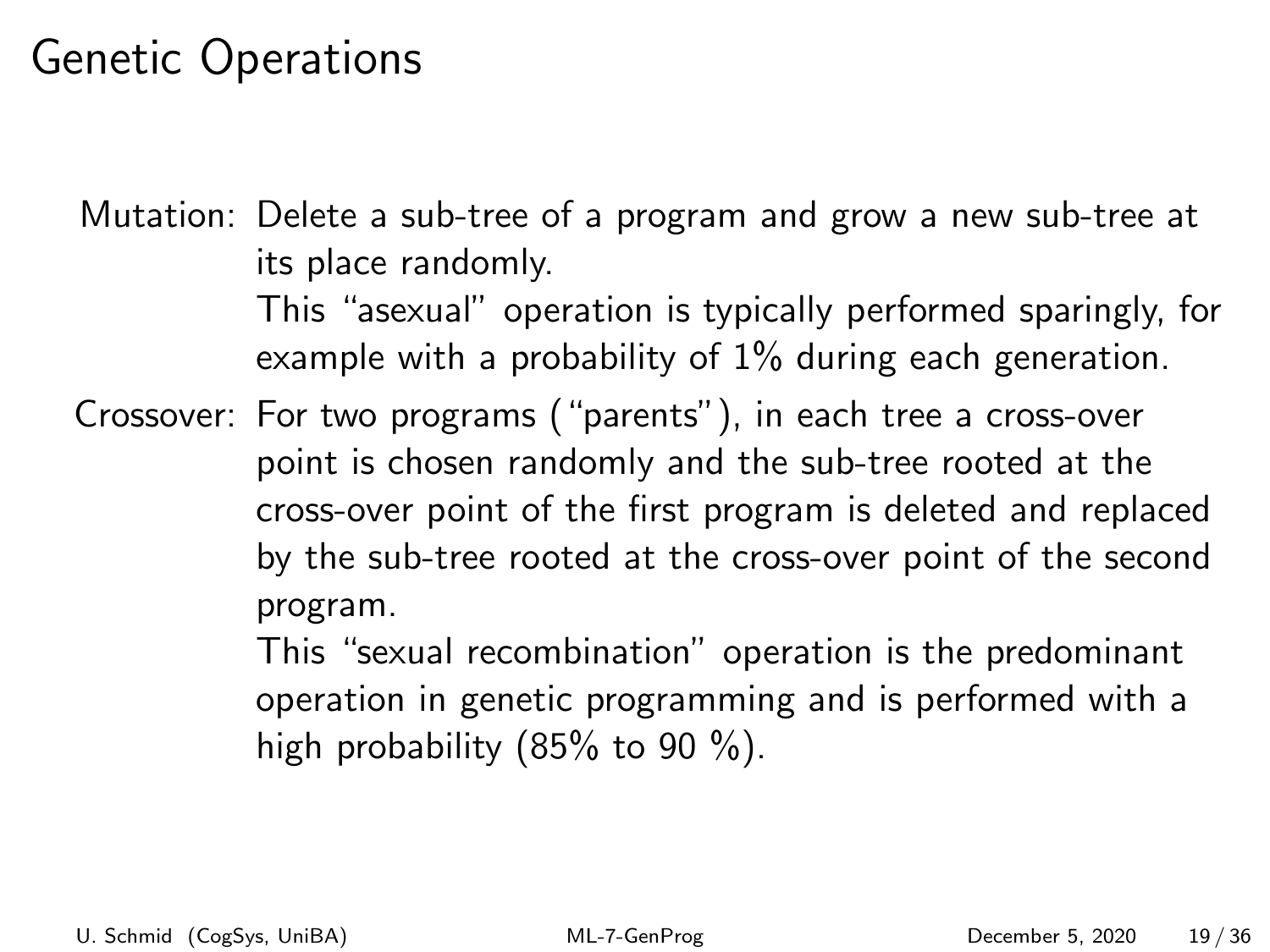Mutation: Delete a sub-tree of a program and grow a new sub-tree at its place randomly.

> This "asexual" operation is typically performed sparingly, for example with a probability of 1% during each generation.

Crossover: For two programs ("parents"), in each tree a cross-over point is chosen randomly and the sub-tree rooted at the cross-over point of the first program is deleted and replaced by the sub-tree rooted at the cross-over point of the second program.

> This "sexual recombination" operation is the predominant operation in genetic programming and is performed with a high probability  $(85\% \text{ to } 90\%)$ .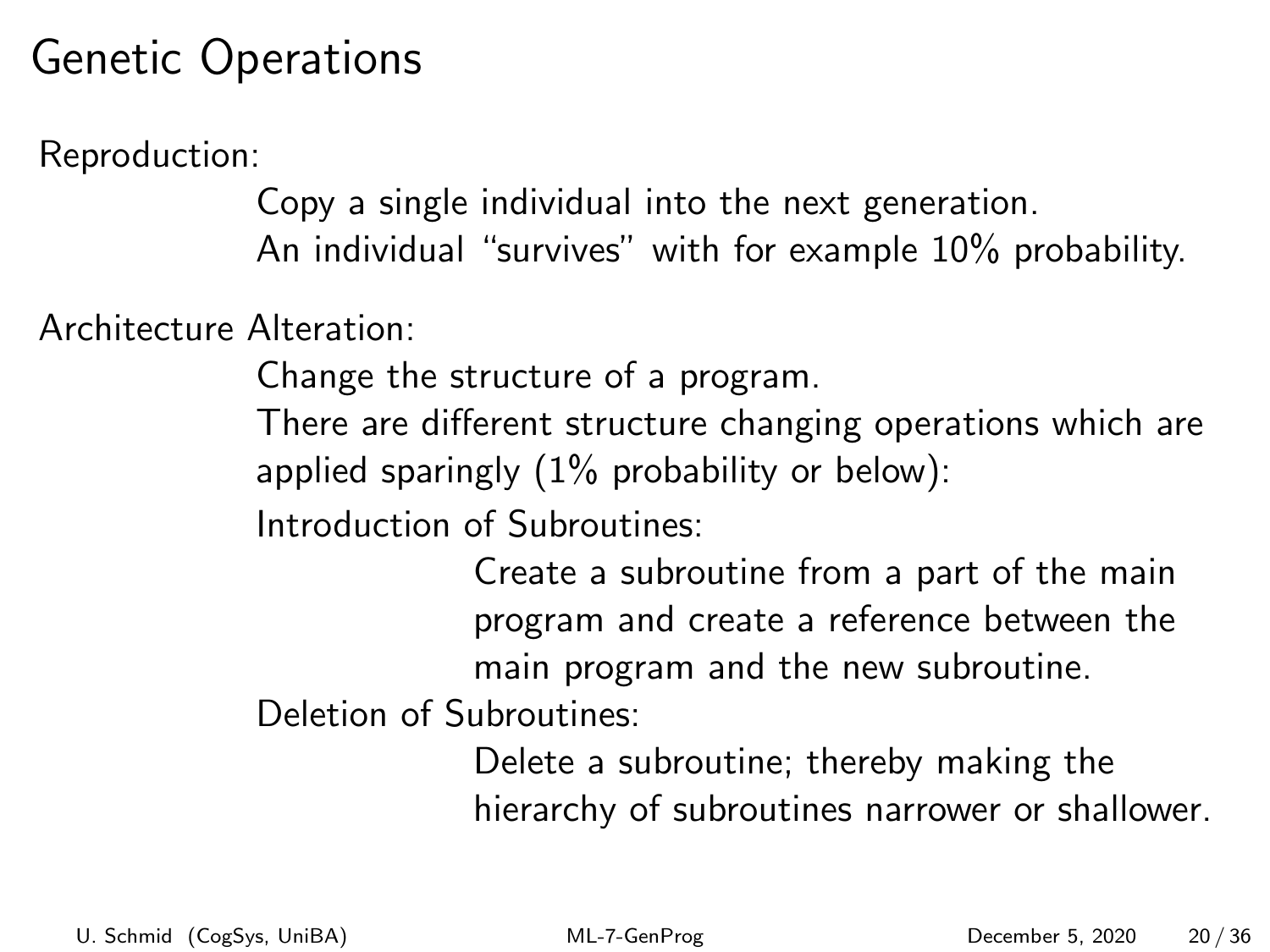Reproduction:

Copy a single individual into the next generation. An individual "survives" with for example 10% probability.

Architecture Alteration:

Change the structure of a program.

There are different structure changing operations which are applied sparingly  $(1\%$  probability or below):

Introduction of Subroutines:

Create a subroutine from a part of the main program and create a reference between the main program and the new subroutine.

Deletion of Subroutines:

Delete a subroutine; thereby making the hierarchy of subroutines narrower or shallower.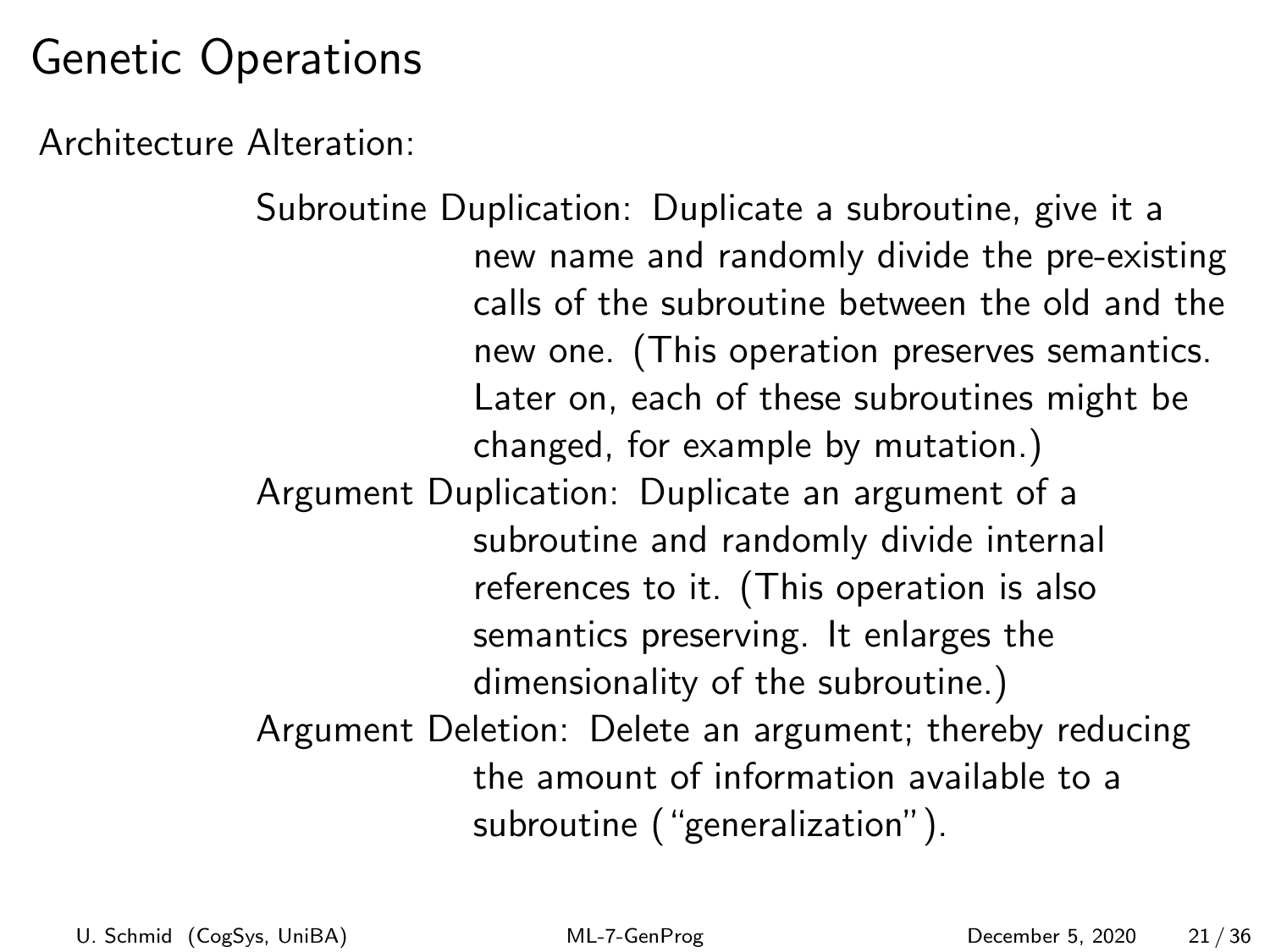Architecture Alteration:

Subroutine Duplication: Duplicate a subroutine, give it a new name and randomly divide the pre-existing calls of the subroutine between the old and the new one. (This operation preserves semantics. Later on, each of these subroutines might be changed, for example by mutation.) Argument Duplication: Duplicate an argument of a subroutine and randomly divide internal references to it. (This operation is also semantics preserving. It enlarges the dimensionality of the subroutine.) Argument Deletion: Delete an argument; thereby reducing the amount of information available to a subroutine ("generalization").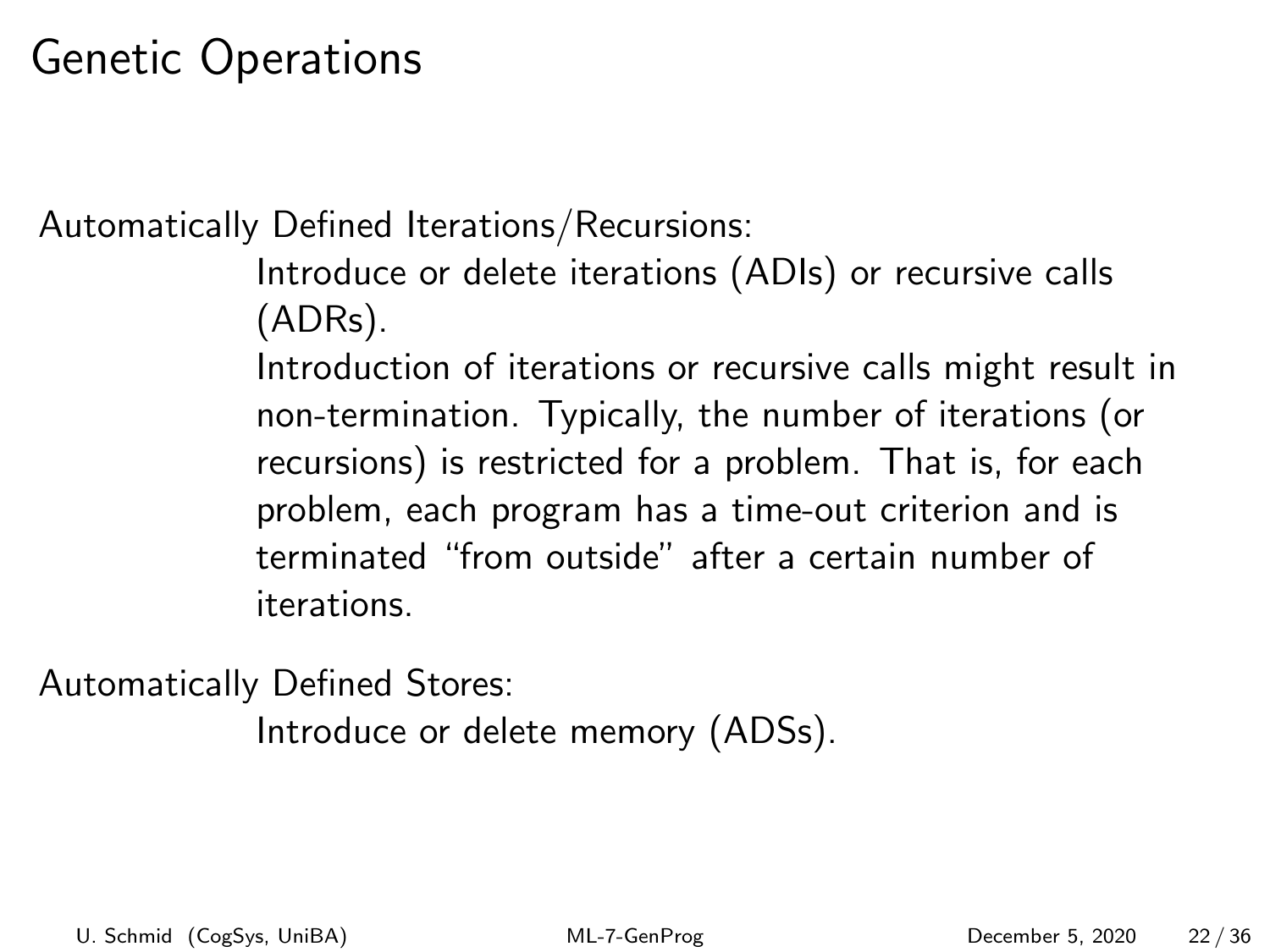Automatically Defined Iterations/Recursions:

Introduce or delete iterations (ADIs) or recursive calls (ADRs).

Introduction of iterations or recursive calls might result in non-termination. Typically, the number of iterations (or recursions) is restricted for a problem. That is, for each problem, each program has a time-out criterion and is terminated "from outside" after a certain number of iterations.

Automatically Defined Stores:

Introduce or delete memory (ADSs).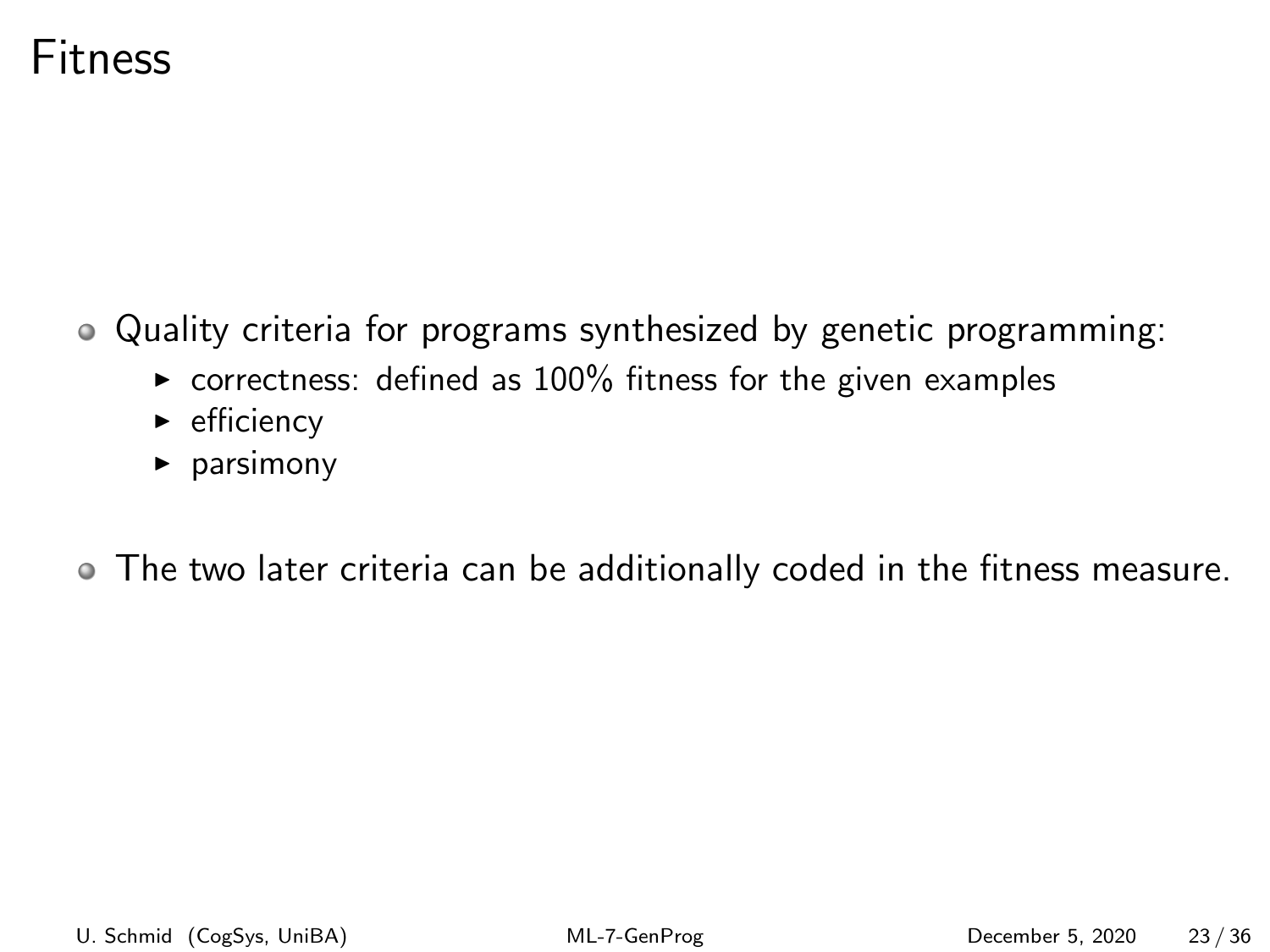#### Fitness

Quality criteria for programs synthesized by genetic programming:

- $\triangleright$  correctness: defined as 100% fitness for the given examples
- $\blacktriangleright$  efficiency
- $\rho$  parsimony

The two later criteria can be additionally coded in the fitness measure.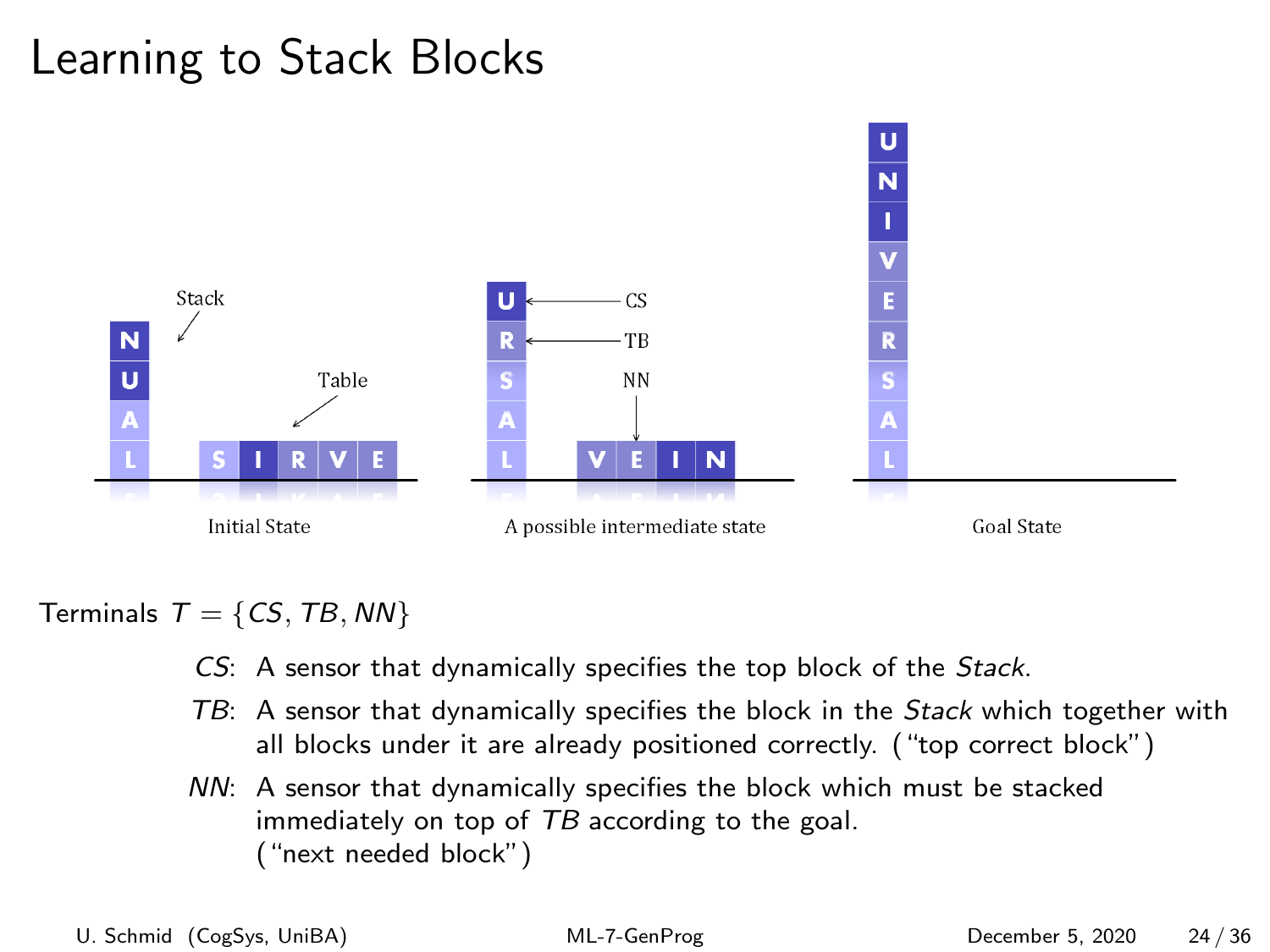

#### Terminals  $T = \{CS, TB, NN\}$

- CS: A sensor that dynamically specifies the top block of the Stack.
- TB: A sensor that dynamically specifies the block in the Stack which together with all blocks under it are already positioned correctly. ("top correct block")
- NN: A sensor that dynamically specifies the block which must be stacked immediately on top of TB according to the goal. ("next needed block")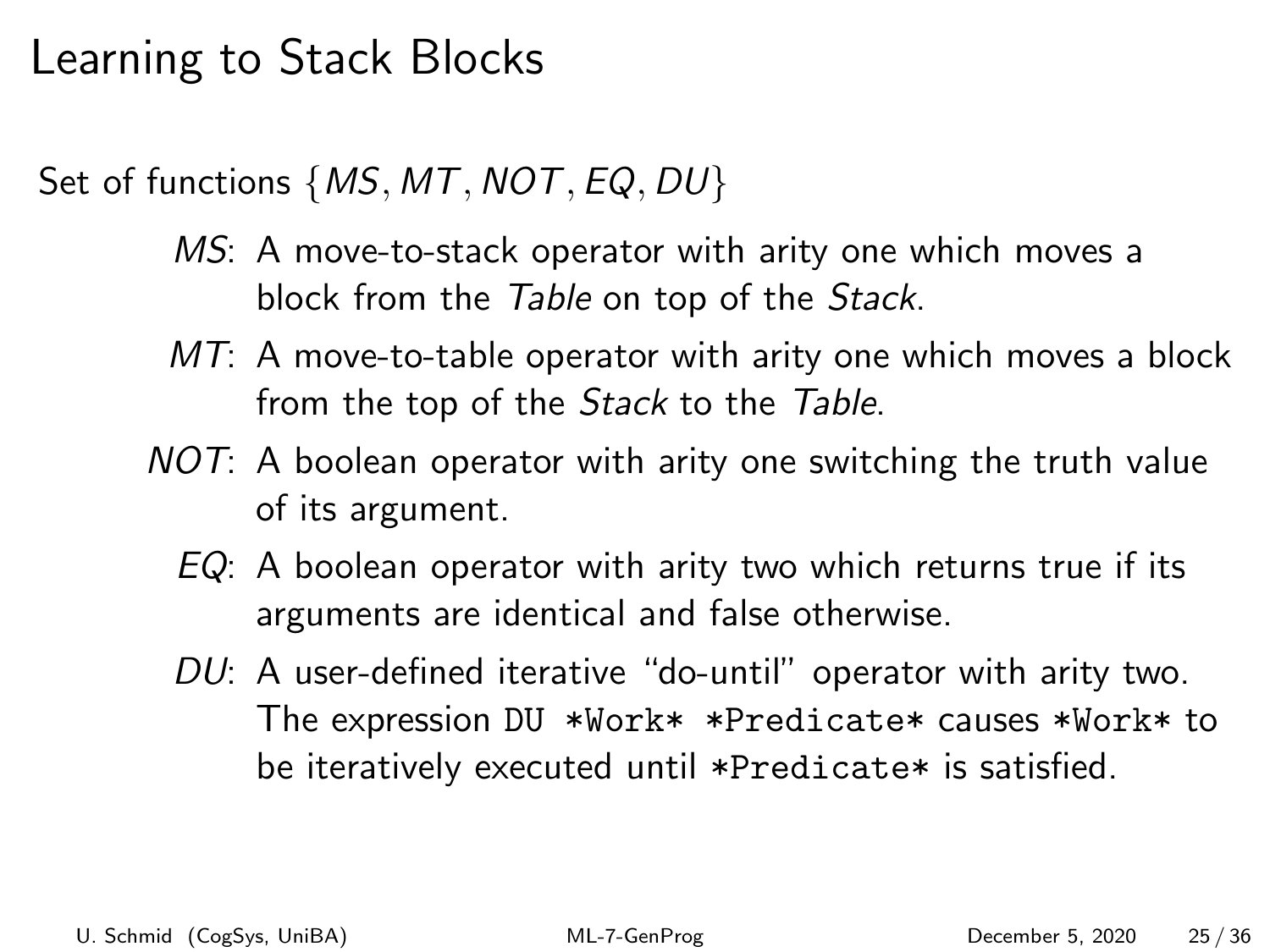Set of functions {*MS, MT, NOT, EQ, DU*}

- MS: A move-to-stack operator with arity one which moves a block from the Table on top of the Stack.
- $MT:$  A move-to-table operator with arity one which moves a block from the top of the *Stack* to the Table.
- NOT: A boolean operator with arity one switching the truth value of its argument.
	- $EQ: A$  boolean operator with arity two which returns true if its arguments are identical and false otherwise.
	- DU: A user-defined iterative "do-until" operator with arity two. The expression DU \*Work\* \*Predicate\* causes \*Work\* to be iteratively executed until \*Predicate\* is satisfied.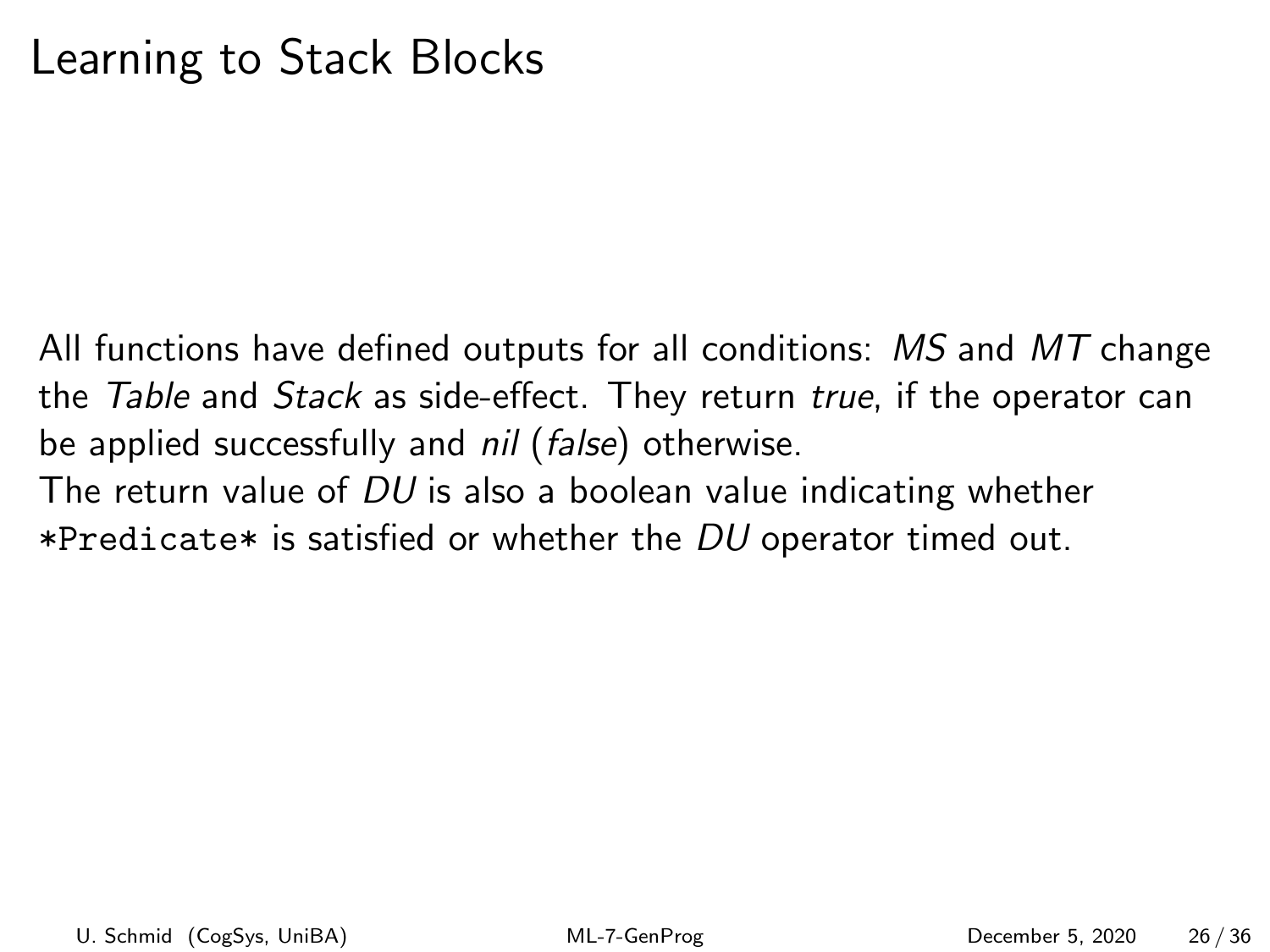All functions have defined outputs for all conditions:  $MS$  and  $MT$  change the Table and Stack as side-effect. They return true, if the operator can be applied successfully and *nil* (*false*) otherwise.

The return value of  $DU$  is also a boolean value indicating whether \*Predicate\* is satisfied or whether the  $DU$  operator timed out.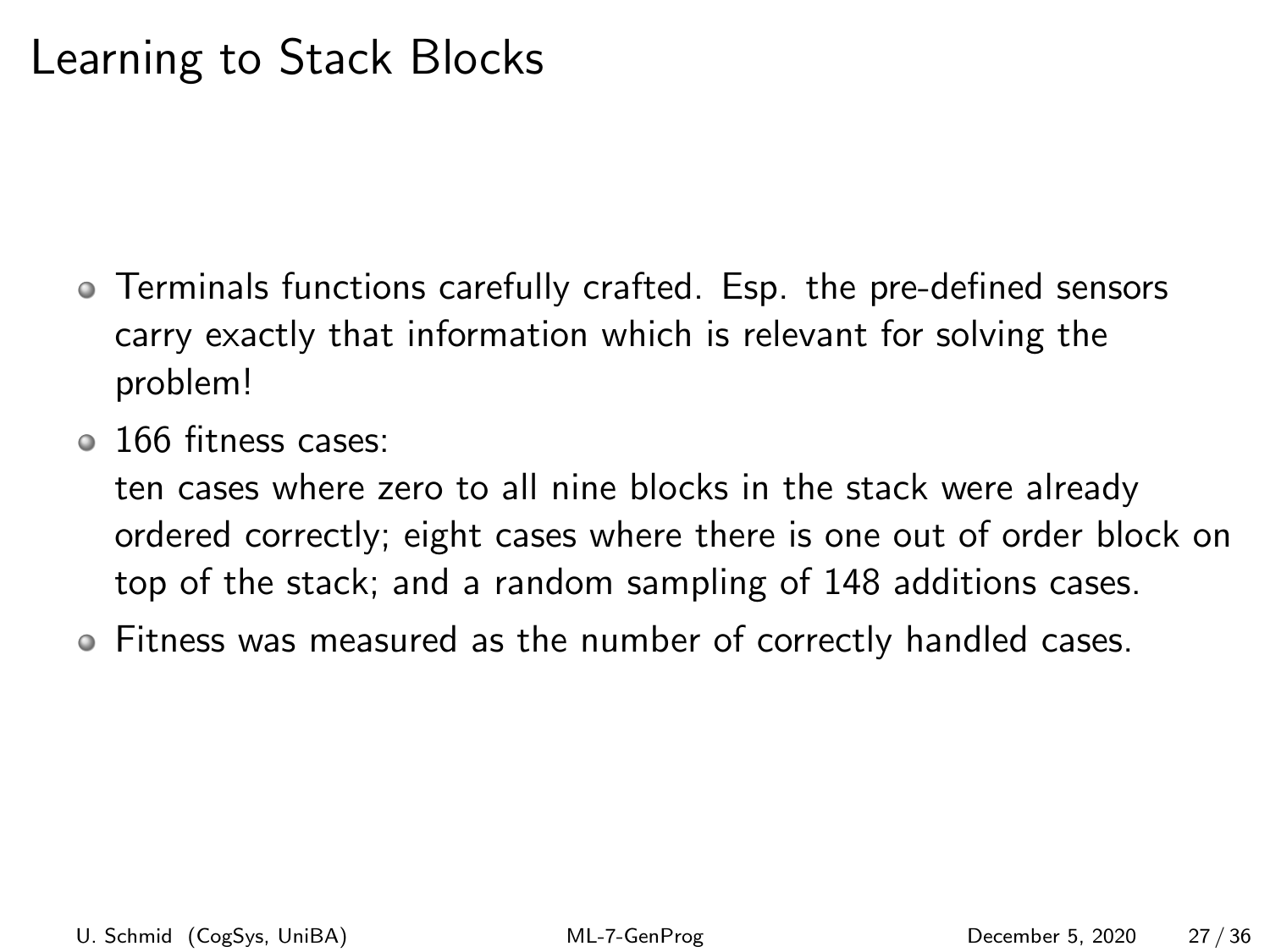- Terminals functions carefully crafted. Esp. the pre-defined sensors carry exactly that information which is relevant for solving the problem!
- <sup>o</sup> 166 fitness cases:

ten cases where zero to all nine blocks in the stack were already ordered correctly; eight cases where there is one out of order block on top of the stack; and a random sampling of 148 additions cases.

Fitness was measured as the number of correctly handled cases.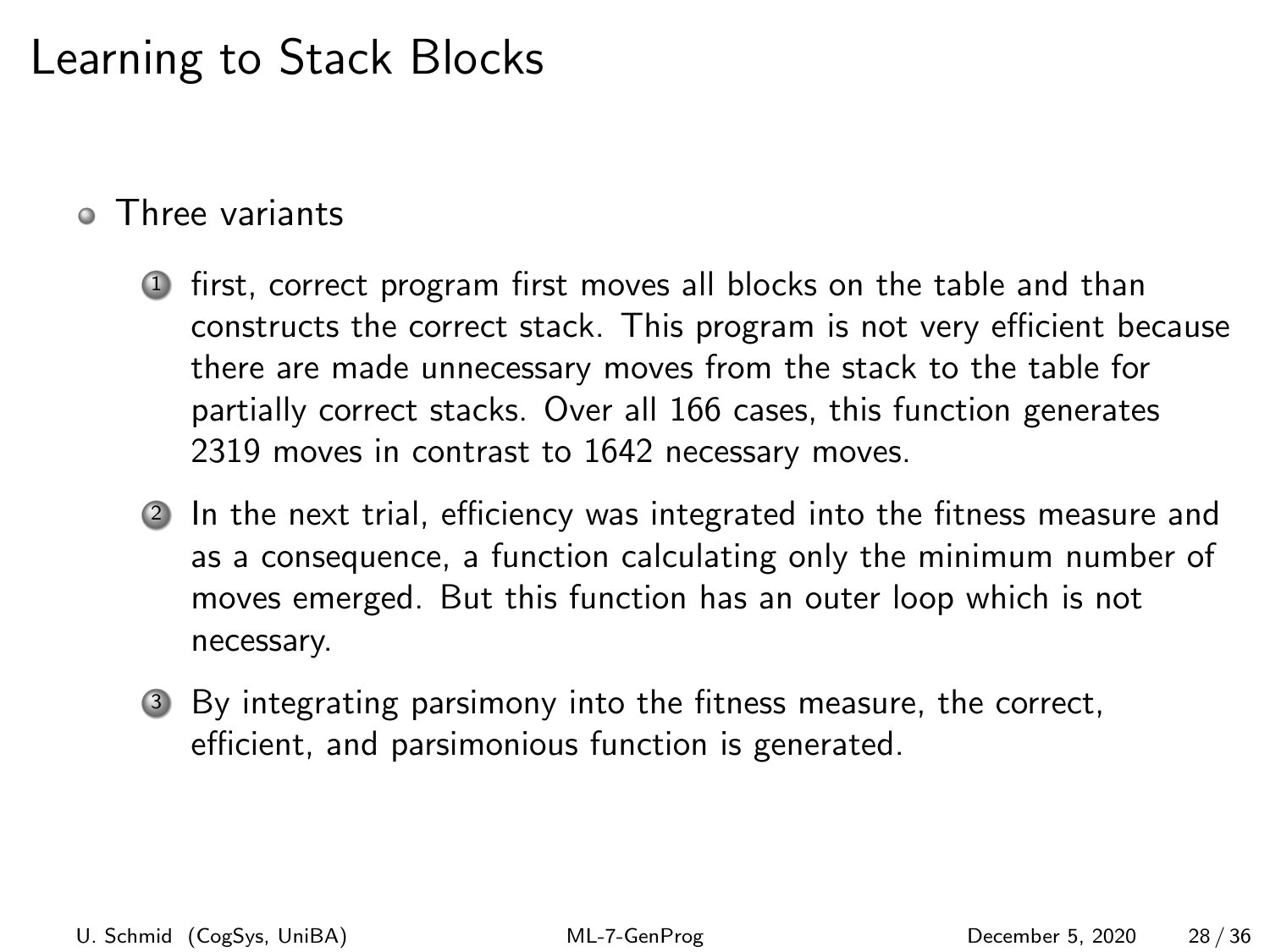#### **o** Three variants

- <sup>1</sup> first, correct program first moves all blocks on the table and than constructs the correct stack. This program is not very efficient because there are made unnecessary moves from the stack to the table for partially correct stacks. Over all 166 cases, this function generates 2319 moves in contrast to 1642 necessary moves.
- <sup>2</sup> In the next trial, efficiency was integrated into the fitness measure and as a consequence, a function calculating only the minimum number of moves emerged. But this function has an outer loop which is not necessary.
- <sup>3</sup> By integrating parsimony into the fitness measure, the correct, efficient, and parsimonious function is generated.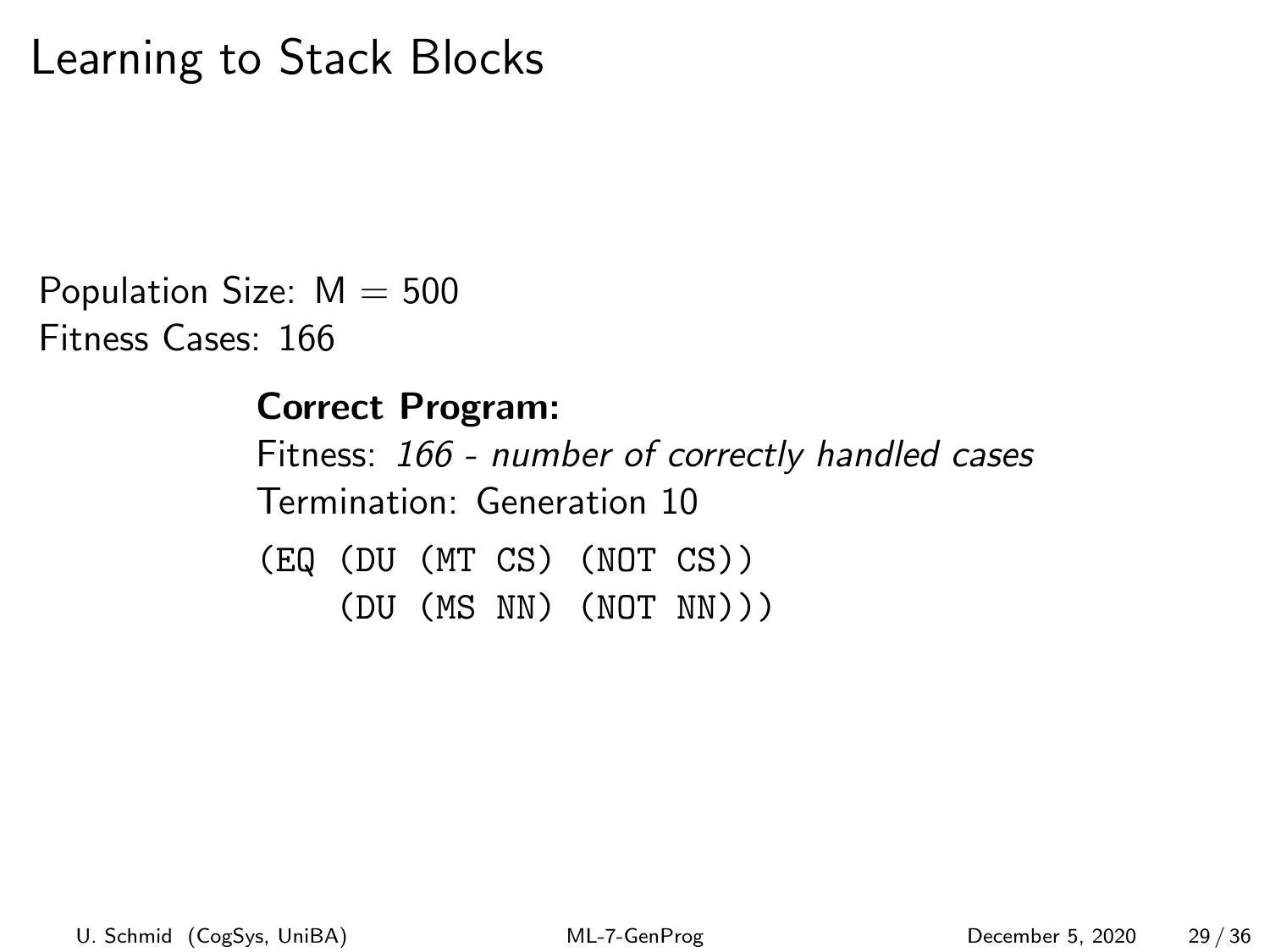Population Size:  $M = 500$ Fitness Cases: 166

#### Correct Program:

Fitness: 166 - number of correctly handled cases Termination: Generation 10 (EQ (DU (MT CS) (NOT CS)) (DU (MS NN) (NOT NN)))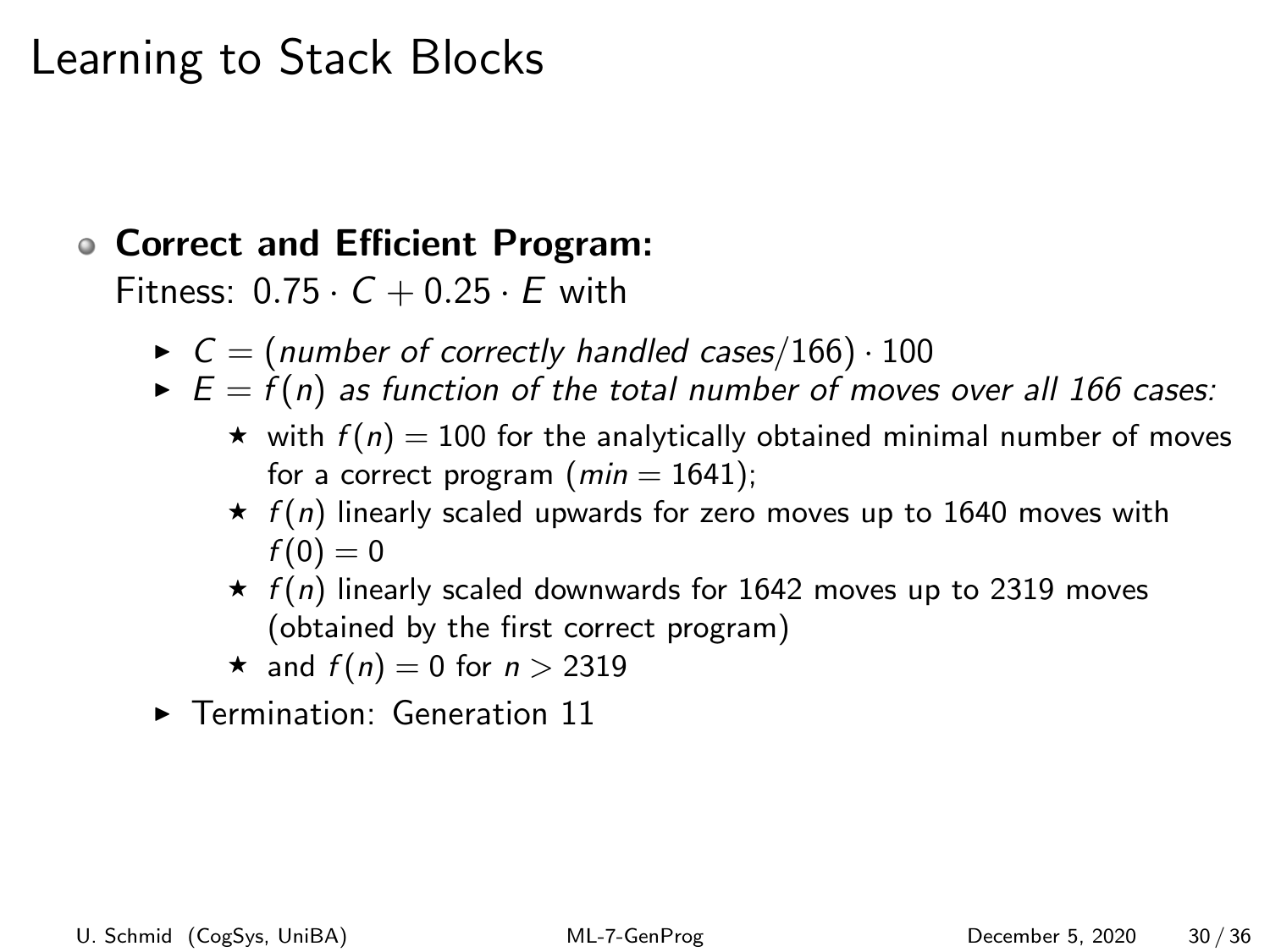#### Correct and Efficient Program:

Fitness:  $0.75 \cdot C + 0.25 \cdot E$  with

- $\triangleright$   $C = (number of correctly handled cases/166) \cdot 100$
- $\blacktriangleright$   $E = f(n)$  as function of the total number of moves over all 166 cases:
	- $\star$  with  $f(n) = 100$  for the analytically obtained minimal number of moves for a correct program  $(min = 1641);$
	- $\star$   $f(n)$  linearly scaled upwards for zero moves up to 1640 moves with  $f(0) = 0$
	- $\star$  f(n) linearly scaled downwards for 1642 moves up to 2319 moves (obtained by the first correct program)
	- $\star$  and  $f(n) = 0$  for  $n > 2319$
- **F** Termination: Generation 11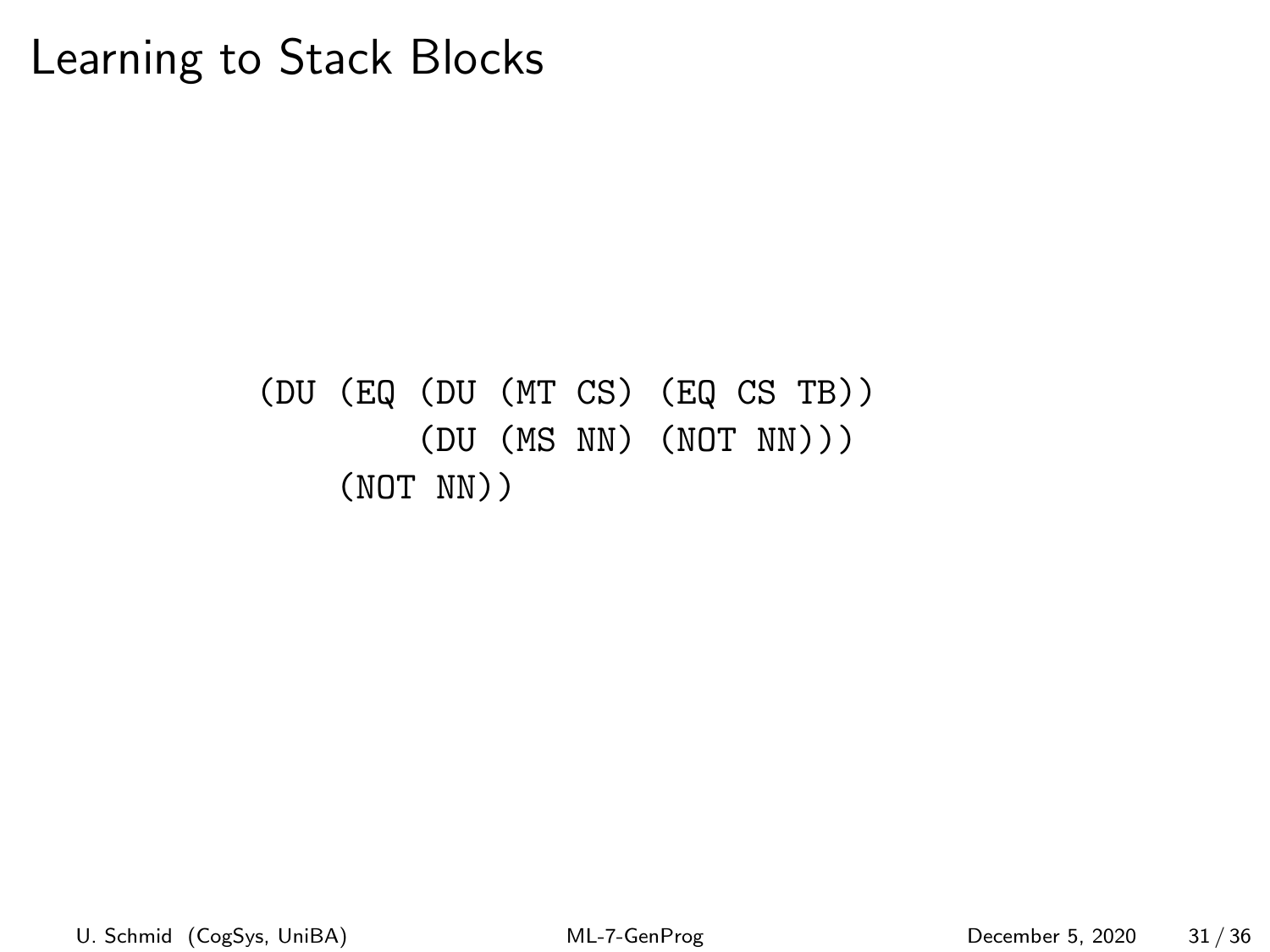#### (DU (EQ (DU (MT CS) (EQ CS TB)) (DU (MS NN) (NOT NN))) (NOT NN))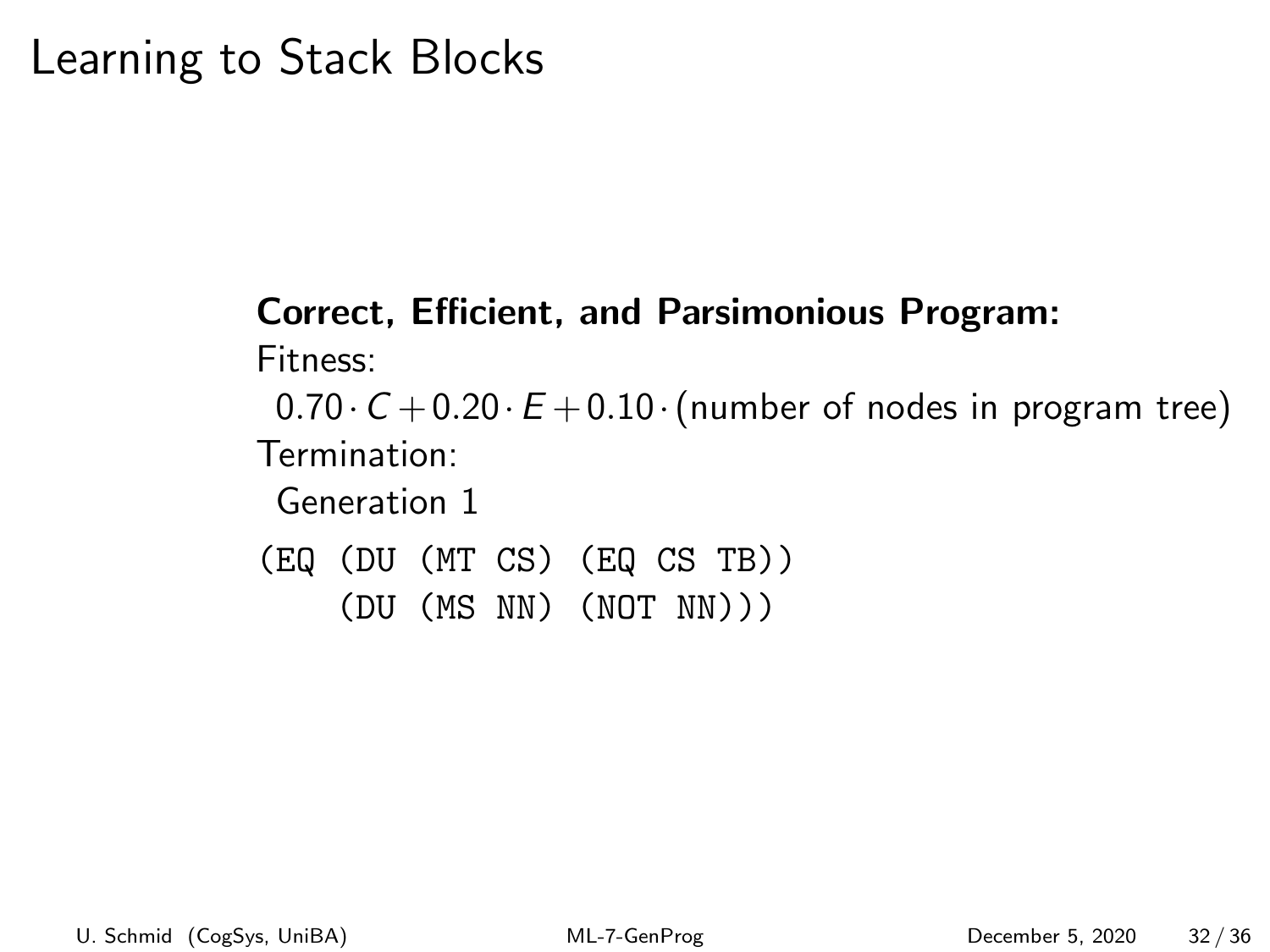# Correct, Efficient, and Parsimonious Program:

Fitness:

 $0.70 \cdot C + 0.20 \cdot E + 0.10 \cdot$  (number of nodes in program tree) Termination:

Generation 1

(EQ (DU (MT CS) (EQ CS TB))

(DU (MS NN) (NOT NN)))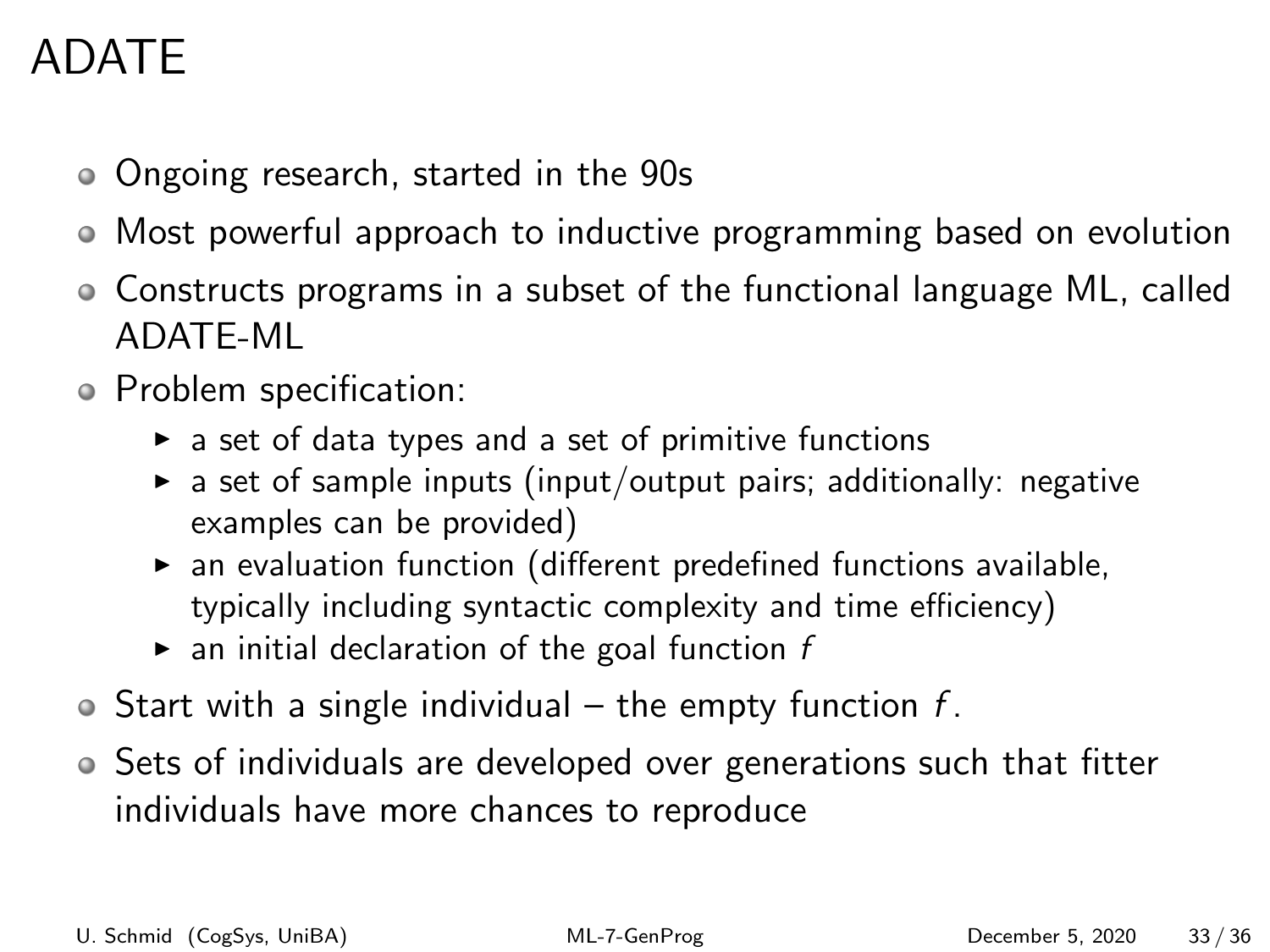# ADATE

- Ongoing research, started in the 90s
- Most powerful approach to inductive programming based on evolution
- Constructs programs in a subset of the functional language ML, called ADATE-ML
- Problem specification:
	- $\triangleright$  a set of data types and a set of primitive functions
	- $\triangleright$  a set of sample inputs (input/output pairs; additionally: negative examples can be provided)
	- $\triangleright$  an evaluation function (different predefined functions available, typically including syntactic complexity and time efficiency)
	- $\blacktriangleright$  an initial declaration of the goal function f
- $\bullet$  Start with a single individual the empty function f.
- Sets of individuals are developed over generations such that fitter individuals have more chances to reproduce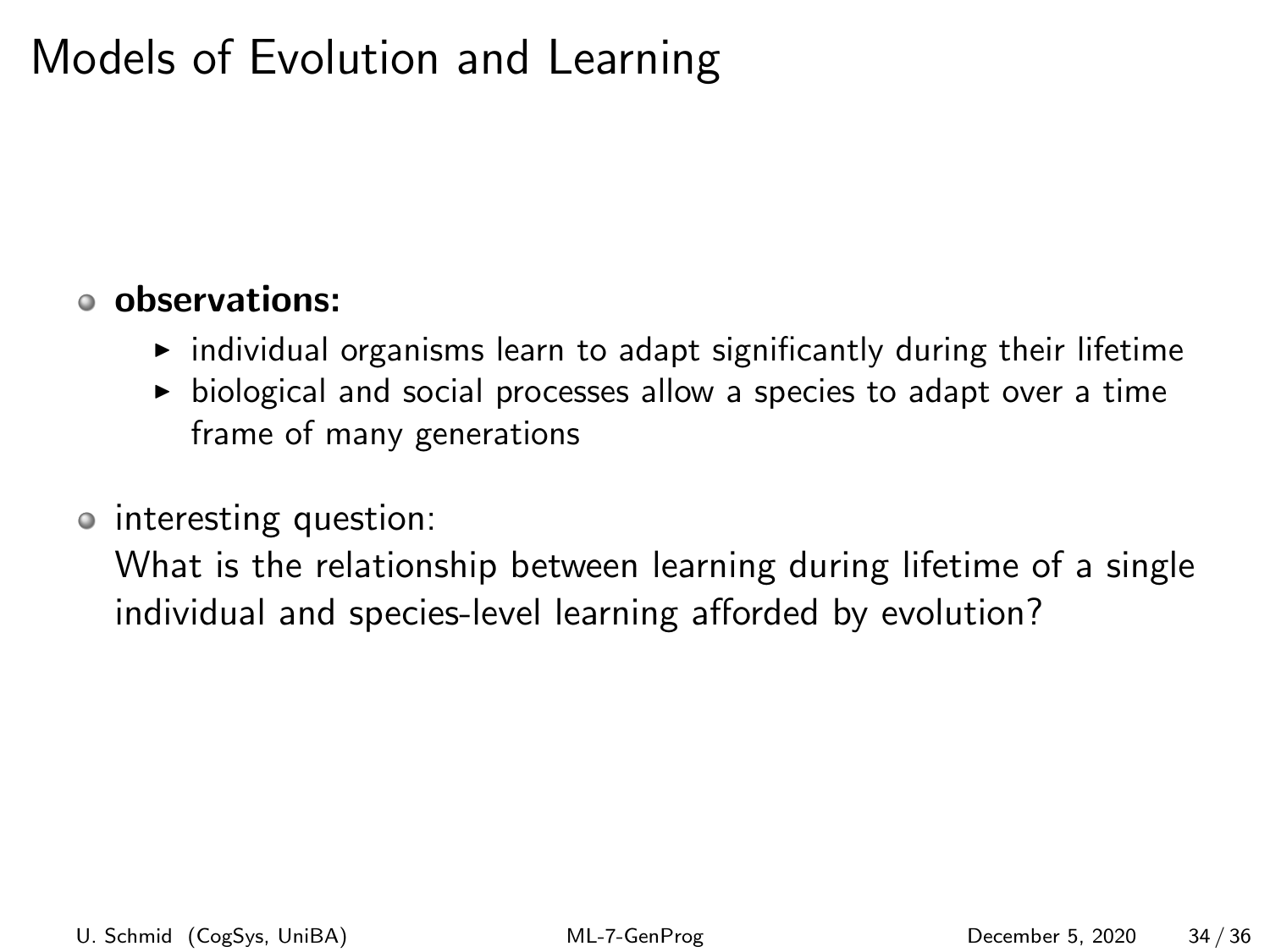# Models of Evolution and Learning

#### observations:

- $\blacktriangleright$  individual organisms learn to adapt significantly during their lifetime
- $\triangleright$  biological and social processes allow a species to adapt over a time frame of many generations
- interesting question:

What is the relationship between learning during lifetime of a single individual and species-level learning afforded by evolution?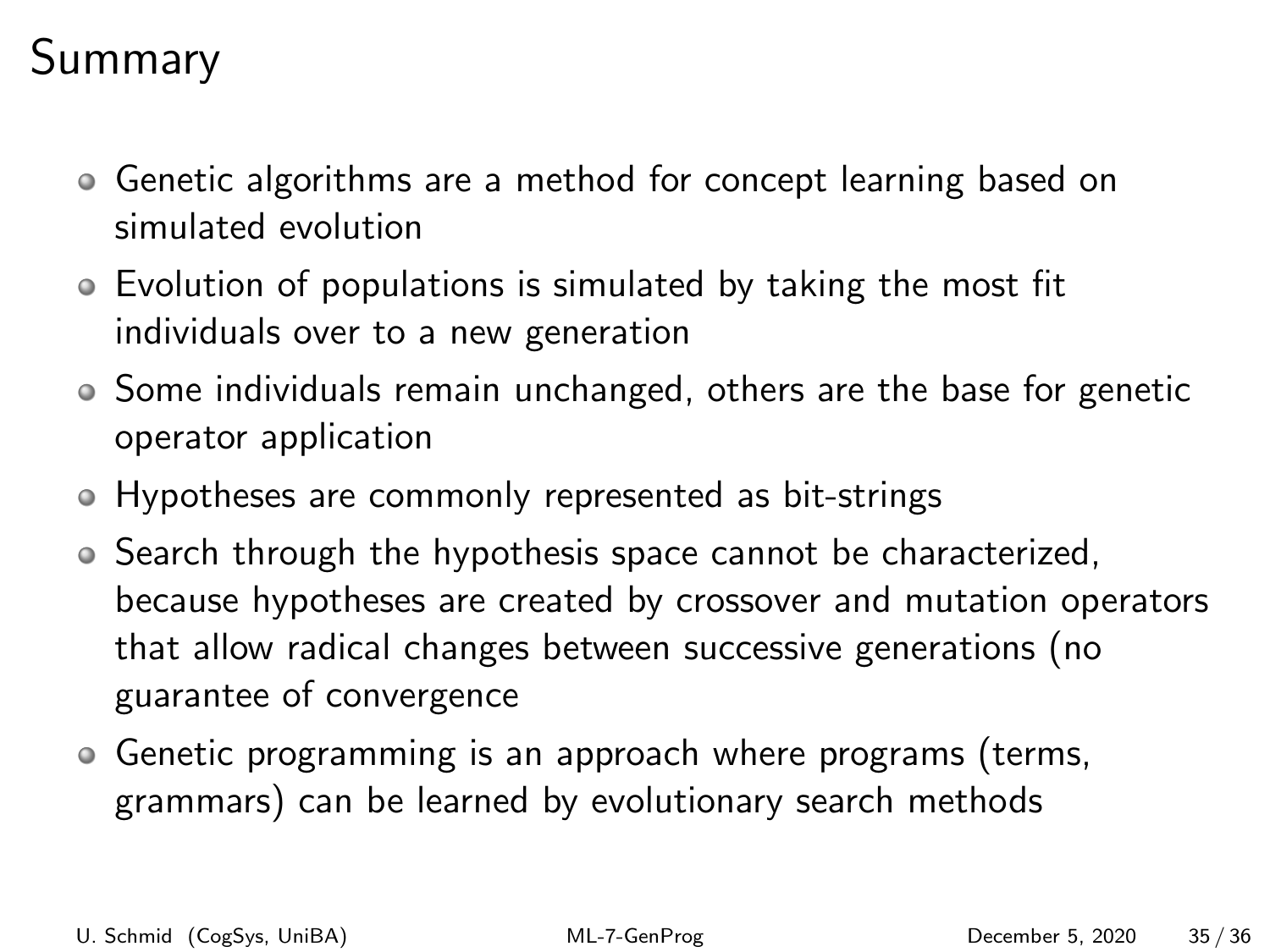# Summary

- Genetic algorithms are a method for concept learning based on simulated evolution
- Evolution of populations is simulated by taking the most fit individuals over to a new generation
- Some individuals remain unchanged, others are the base for genetic operator application
- Hypotheses are commonly represented as bit-strings
- Search through the hypothesis space cannot be characterized, because hypotheses are created by crossover and mutation operators that allow radical changes between successive generations (no guarantee of convergence
- Genetic programming is an approach where programs (terms, grammars) can be learned by evolutionary search methods